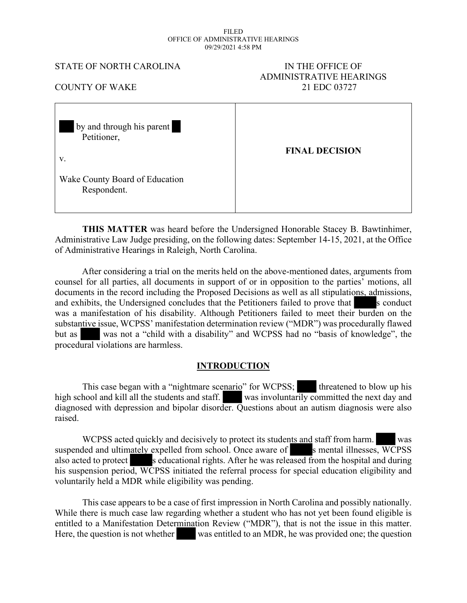#### FILED OFFICE OF ADMINISTRATIVE HEARINGS 09/29/2021 4:58 PM

#### STATE OF NORTH CAROLINA IN THE OFFICE OF

# ADMINISTRATIVE HEARINGS COUNTY OF WAKE 21 EDC 03727

| by and through his parent<br>Petitioner,<br>V. | <b>FINAL DECISION</b> |
|------------------------------------------------|-----------------------|
| Wake County Board of Education<br>Respondent.  |                       |

**THIS MATTER** was heard before the Undersigned Honorable Stacey B. Bawtinhimer, Administrative Law Judge presiding, on the following dates: September 14-15, 2021, at the Office of Administrative Hearings in Raleigh, North Carolina.

 After considering a trial on the merits held on the above-mentioned dates, arguments from counsel for all parties, all documents in support of or in opposition to the parties' motions, all documents in the record including the Proposed Decisions as well as all stipulations, admissions, and exhibits, the Undersigned concludes that the Petitioners failed to prove that s conduct was a manifestation of his disability. Although Petitioners failed to meet their burden on the substantive issue, WCPSS' manifestation determination review ("MDR") was procedurally flawed but as was not a "child with a disability" and WCPSS had no "basis of knowledge", the procedural violations are harmless.

#### **INTRODUCTION**

This case began with a "nightmare scenario" for WCPSS; threatened to blow up his high school and kill all the students and staff. was involuntarily committed the next day and diagnosed with depression and bipolar disorder. Questions about an autism diagnosis were also raised.

WCPSS acted quickly and decisively to protect its students and staff from harm. suspended and ultimately expelled from school. Once aware of s mental illnesses, WCPSS also acted to protect s educational rights. After he was released from the hospital and during his suspension period, WCPSS initiated the referral process for special education eligibility and voluntarily held a MDR while eligibility was pending.

This case appears to be a case of first impression in North Carolina and possibly nationally. While there is much case law regarding whether a student who has not yet been found eligible is entitled to a Manifestation Determination Review ("MDR"), that is not the issue in this matter. Here, the question is not whether was entitled to an MDR, he was provided one; the question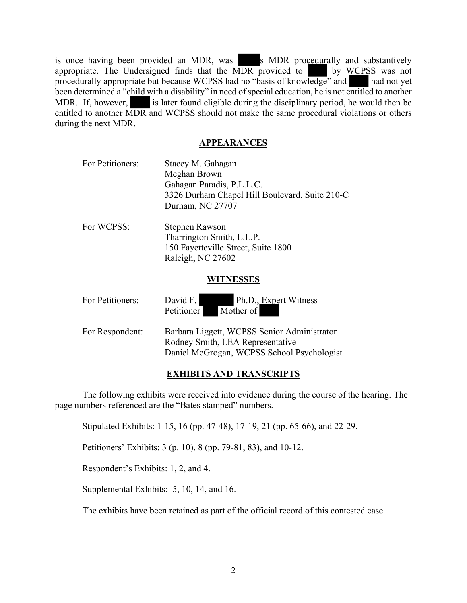is once having been provided an MDR, was s MDR procedurally and substantively appropriate. The Undersigned finds that the MDR provided to by WCPSS was not procedurally appropriate but because WCPSS had no "basis of knowledge" and had not yet been determined a "child with a disability" in need of special education, he is not entitled to another MDR. If, however, is later found eligible during the disciplinary period, he would then be entitled to another MDR and WCPSS should not make the same procedural violations or others during the next MDR.

#### **APPEARANCES**

| For Petitioners: | Stacey M. Gahagan                                                                                                             |  |  |  |  |  |  |  |
|------------------|-------------------------------------------------------------------------------------------------------------------------------|--|--|--|--|--|--|--|
|                  | Meghan Brown                                                                                                                  |  |  |  |  |  |  |  |
|                  | Gahagan Paradis, P.L.L.C.                                                                                                     |  |  |  |  |  |  |  |
|                  | 3326 Durham Chapel Hill Boulevard, Suite 210-C                                                                                |  |  |  |  |  |  |  |
|                  | Durham, NC 27707                                                                                                              |  |  |  |  |  |  |  |
| For WCPSS:       | Stephen Rawson                                                                                                                |  |  |  |  |  |  |  |
|                  | Tharrington Smith, L.L.P.                                                                                                     |  |  |  |  |  |  |  |
|                  | 150 Fayetteville Street, Suite 1800                                                                                           |  |  |  |  |  |  |  |
|                  | Raleigh, NC 27602                                                                                                             |  |  |  |  |  |  |  |
|                  | WITNESSES                                                                                                                     |  |  |  |  |  |  |  |
| For Petitioners: | Ph.D., Expert Witness<br>David F.<br>Mother of<br><b>Petitioner</b>                                                           |  |  |  |  |  |  |  |
| For Respondent:  | Barbara Liggett, WCPSS Senior Administrator<br>Rodney Smith, LEA Representative<br>Daniel McGrogan, WCPSS School Psychologist |  |  |  |  |  |  |  |

## **EXHIBITS AND TRANSCRIPTS**

The following exhibits were received into evidence during the course of the hearing. The page numbers referenced are the "Bates stamped" numbers.

Stipulated Exhibits: 1-15, 16 (pp. 47-48), 17-19, 21 (pp. 65-66), and 22-29.

Petitioners' Exhibits: 3 (p. 10), 8 (pp. 79-81, 83), and 10-12.

Respondent's Exhibits: 1, 2, and 4.

Supplemental Exhibits: 5, 10, 14, and 16.

The exhibits have been retained as part of the official record of this contested case.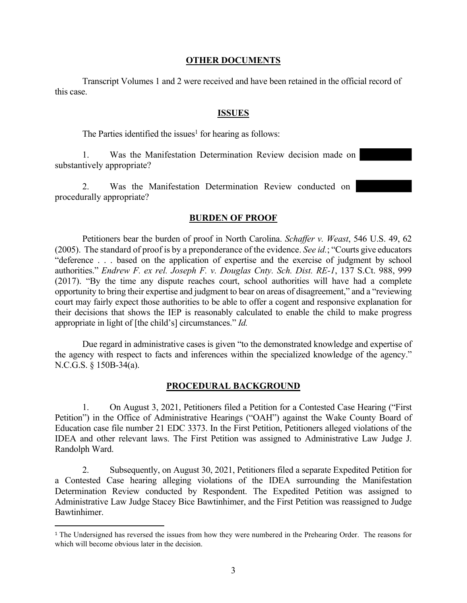#### **OTHER DOCUMENTS**

Transcript Volumes 1 and 2 were received and have been retained in the official record of this case.

#### **ISSUES**

The Parties identified the issues<sup>1</sup> for hearing as follows:

1. Was the Manifestation Determination Review decision made on substantively appropriate?

2. Was the Manifestation Determination Review conducted on procedurally appropriate?

#### **BURDEN OF PROOF**

Petitioners bear the burden of proof in North Carolina. *Schaffer v. Weast*, 546 U.S. 49, 62 (2005). The standard of proof is by a preponderance of the evidence. *See id.*; "Courts give educators "deference . . . based on the application of expertise and the exercise of judgment by school authorities." *Endrew F. ex rel. Joseph F. v. Douglas Cnty. Sch. Dist. RE-1*, 137 S.Ct. 988, 999 (2017). "By the time any dispute reaches court, school authorities will have had a complete opportunity to bring their expertise and judgment to bear on areas of disagreement," and a "reviewing court may fairly expect those authorities to be able to offer a cogent and responsive explanation for their decisions that shows the IEP is reasonably calculated to enable the child to make progress appropriate in light of [the child's] circumstances." *Id.*

Due regard in administrative cases is given "to the demonstrated knowledge and expertise of the agency with respect to facts and inferences within the specialized knowledge of the agency." N.C.G.S. § 150B-34(a).

#### **PROCEDURAL BACKGROUND**

1. On August 3, 2021, Petitioners filed a Petition for a Contested Case Hearing ("First Petition") in the Office of Administrative Hearings ("OAH") against the Wake County Board of Education case file number 21 EDC 3373. In the First Petition, Petitioners alleged violations of the IDEA and other relevant laws. The First Petition was assigned to Administrative Law Judge J. Randolph Ward.

2. Subsequently, on August 30, 2021, Petitioners filed a separate Expedited Petition for a Contested Case hearing alleging violations of the IDEA surrounding the Manifestation Determination Review conducted by Respondent. The Expedited Petition was assigned to Administrative Law Judge Stacey Bice Bawtinhimer, and the First Petition was reassigned to Judge Bawtinhimer.

<sup>1</sup> The Undersigned has reversed the issues from how they were numbered in the Prehearing Order. The reasons for which will become obvious later in the decision.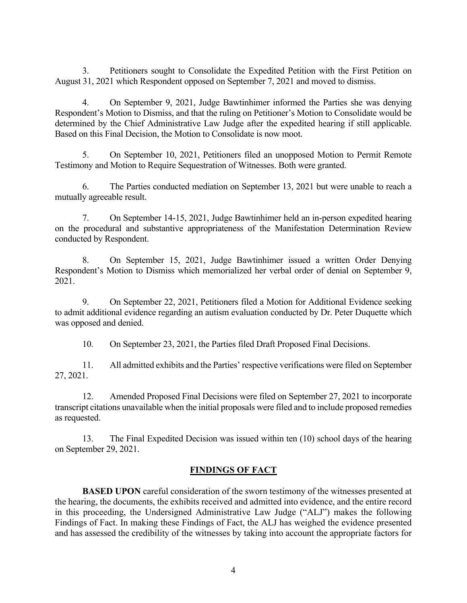3. Petitioners sought to Consolidate the Expedited Petition with the First Petition on August 31, 2021 which Respondent opposed on September 7, 2021 and moved to dismiss.

4. On September 9, 2021, Judge Bawtinhimer informed the Parties she was denying Respondent's Motion to Dismiss, and that the ruling on Petitioner's Motion to Consolidate would be determined by the Chief Administrative Law Judge after the expedited hearing if still applicable. Based on this Final Decision, the Motion to Consolidate is now moot.

5. On September 10, 2021, Petitioners filed an unopposed Motion to Permit Remote Testimony and Motion to Require Sequestration of Witnesses. Both were granted.

6. The Parties conducted mediation on September 13, 2021 but were unable to reach a mutually agreeable result.

7. On September 14-15, 2021, Judge Bawtinhimer held an in-person expedited hearing on the procedural and substantive appropriateness of the Manifestation Determination Review conducted by Respondent.

8. On September 15, 2021, Judge Bawtinhimer issued a written Order Denying Respondent's Motion to Dismiss which memorialized her verbal order of denial on September 9, 2021.

9. On September 22, 2021, Petitioners filed a Motion for Additional Evidence seeking to admit additional evidence regarding an autism evaluation conducted by Dr. Peter Duquette which was opposed and denied.

10. On September 23, 2021, the Parties filed Draft Proposed Final Decisions.

11. All admitted exhibits and the Parties' respective verifications were filed on September 27, 2021.

12. Amended Proposed Final Decisions were filed on September 27, 2021 to incorporate transcript citations unavailable when the initial proposals were filed and to include proposed remedies as requested.

13. The Final Expedited Decision was issued within ten (10) school days of the hearing on September 29, 2021.

## **FINDINGS OF FACT**

**BASED UPON** careful consideration of the sworn testimony of the witnesses presented at the hearing, the documents, the exhibits received and admitted into evidence, and the entire record in this proceeding, the Undersigned Administrative Law Judge ("ALJ") makes the following Findings of Fact. In making these Findings of Fact, the ALJ has weighed the evidence presented and has assessed the credibility of the witnesses by taking into account the appropriate factors for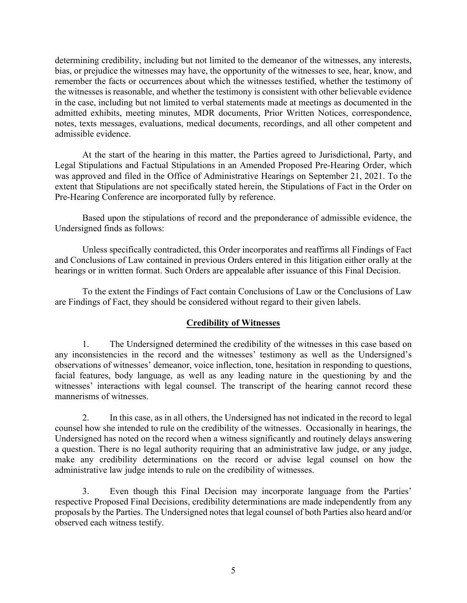determining credibility, including but not limited to the demeanor of the witnesses, any interests, bias, or prejudice the witnesses may have, the opportunity of the witnesses to see, hear, know, and remember the facts or occurrences about which the witnesses testified, whether the testimony of the witnesses is reasonable, and whether the testimony is consistent with other believable evidence in the case, including but not limited to verbal statements made at meetings as documented in the admitted exhibits, meeting minutes, MDR documents, Prior Written Notices, correspondence, notes, texts messages, evaluations, medical documents, recordings, and all other competent and admissible evidence.

At the start of the hearing in this matter, the Parties agreed to Jurisdictional, Party, and Legal Stipulations and Factual Stipulations in an Amended Proposed Pre-Hearing Order, which was approved and filed in the Office of Administrative Hearings on September 21, 2021. To the extent that Stipulations are not specifically stated herein, the Stipulations of Fact in the Order on Pre-Hearing Conference are incorporated fully by reference.

Based upon the stipulations of record and the preponderance of admissible evidence, the Undersigned finds as follows:

Unless specifically contradicted, this Order incorporates and reaffirms all Findings of Fact and Conclusions of Law contained in previous Orders entered in this litigation either orally at the hearings or in written format. Such Orders are appealable after issuance of this Final Decision.

To the extent the Findings of Fact contain Conclusions of Law or the Conclusions of Law are Findings of Fact, they should be considered without regard to their given labels.

## **Credibility of Witnesses**

1. The Undersigned determined the credibility of the witnesses in this case based on any inconsistencies in the record and the witnesses' testimony as well as the Undersigned's observations of witnesses' demeanor, voice inflection, tone, hesitation in responding to questions, facial features, body language, as well as any leading nature in the questioning by and the witnesses' interactions with legal counsel. The transcript of the hearing cannot record these mannerisms of witnesses.

2. In this case, as in all others, the Undersigned has not indicated in the record to legal counsel how she intended to rule on the credibility of the witnesses. Occasionally in hearings, the Undersigned has noted on the record when a witness significantly and routinely delays answering a question. There is no legal authority requiring that an administrative law judge, or any judge, make any credibility determinations on the record or advise legal counsel on how the administrative law judge intends to rule on the credibility of witnesses.

3. Even though this Final Decision may incorporate language from the Parties' respective Proposed Final Decisions, credibility determinations are made independently from any proposals by the Parties. The Undersigned notes that legal counsel of both Parties also heard and/or observed each witness testify.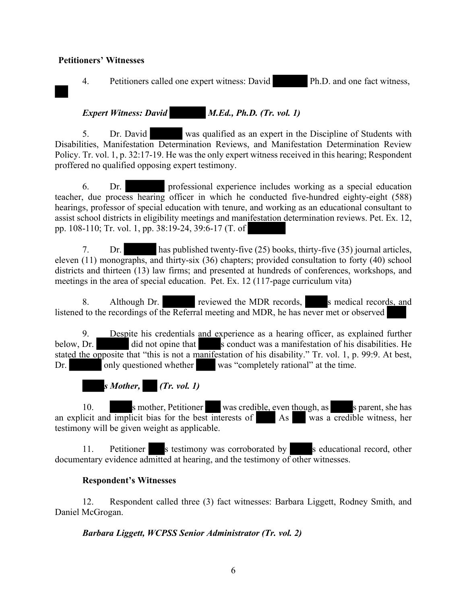#### **Petitioners' Witnesses**

4. Petitioners called one expert witness: David Ph.D. and one fact witness,

*Expert Witness: David M.Ed., Ph.D. (Tr. vol. 1)*

5. Dr. David was qualified as an expert in the Discipline of Students with Disabilities, Manifestation Determination Reviews, and Manifestation Determination Review Policy. Tr. vol. 1, p. 32:17-19. He was the only expert witness received in this hearing; Respondent proffered no qualified opposing expert testimony.

6. Dr. professional experience includes working as a special education teacher, due process hearing officer in which he conducted five-hundred eighty-eight (588) hearings, professor of special education with tenure, and working as an educational consultant to assist school districts in eligibility meetings and manifestation determination reviews. Pet. Ex. 12, pp. 108-110; Tr. vol. 1, pp. 38:19-24, 39:6-17 (T. of

7. Dr. has published twenty-five (25) books, thirty-five (35) journal articles, eleven (11) monographs, and thirty-six (36) chapters; provided consultation to forty (40) school districts and thirteen (13) law firms; and presented at hundreds of conferences, workshops, and meetings in the area of special education. Pet. Ex. 12 (117-page curriculum vita)

8. Although Dr. reviewed the MDR records, s medical records, and listened to the recordings of the Referral meeting and MDR, he has never met or observed

9. Despite his credentials and experience as a hearing officer, as explained further below, Dr. did not opine that s conduct was a manifestation of his disabilities. He stated the opposite that "this is not a manifestation of his disability." Tr. vol. 1, p. 99:9. At best, Dr. only questioned whether was "completely rational" at the time.

*s Mother, (Tr. vol. 1)*

10. s mother, Petitioner was credible, even though, as s parent, she has an explicit and implicit bias for the best interests of As was a credible witness, her testimony will be given weight as applicable.

11. Petitioner s testimony was corroborated by s educational record, other documentary evidence admitted at hearing, and the testimony of other witnesses.

#### **Respondent's Witnesses**

12. Respondent called three (3) fact witnesses: Barbara Liggett, Rodney Smith, and Daniel McGrogan.

*Barbara Liggett, WCPSS Senior Administrator (Tr. vol. 2)*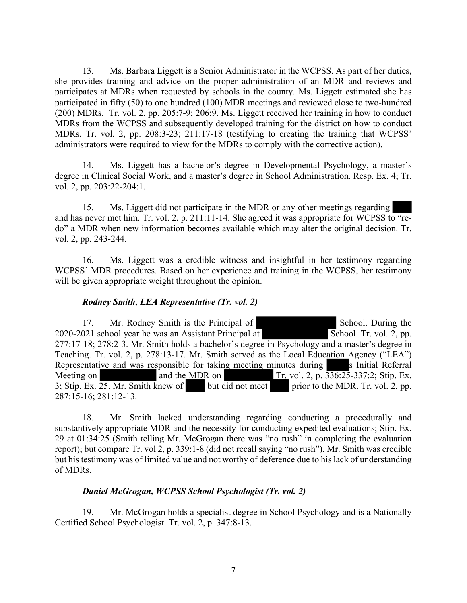13. Ms. Barbara Liggett is a Senior Administrator in the WCPSS. As part of her duties, she provides training and advice on the proper administration of an MDR and reviews and participates at MDRs when requested by schools in the county. Ms. Liggett estimated she has participated in fifty (50) to one hundred (100) MDR meetings and reviewed close to two-hundred (200) MDRs. Tr. vol. 2, pp. 205:7-9; 206:9. Ms. Liggett received her training in how to conduct MDRs from the WCPSS and subsequently developed training for the district on how to conduct MDRs. Tr. vol. 2, pp. 208:3-23; 211:17-18 (testifying to creating the training that WCPSS' administrators were required to view for the MDRs to comply with the corrective action).

14. Ms. Liggett has a bachelor's degree in Developmental Psychology, a master's degree in Clinical Social Work, and a master's degree in School Administration. Resp. Ex. 4; Tr. vol. 2, pp. 203:22-204:1.

15. Ms. Liggett did not participate in the MDR or any other meetings regarding and has never met him. Tr. vol. 2, p. 211:11-14. She agreed it was appropriate for WCPSS to "redo" a MDR when new information becomes available which may alter the original decision. Tr. vol. 2, pp. 243-244.

16. Ms. Liggett was a credible witness and insightful in her testimony regarding WCPSS' MDR procedures. Based on her experience and training in the WCPSS, her testimony will be given appropriate weight throughout the opinion.

#### *Rodney Smith, LEA Representative (Tr. vol. 2)*

17. Mr. Rodney Smith is the Principal of School. During the  $2020-2021$  school year he was an Assistant Principal at  $\overline{\text{S}}$  School. Tr. vol. 2, pp. 277:17-18; 278:2-3. Mr. Smith holds a bachelor's degree in Psychology and a master's degree in Teaching. Tr. vol. 2, p. 278:13-17. Mr. Smith served as the Local Education Agency ("LEA") Representative and was responsible for taking meeting minutes during s Initial Referral Meeting on and the MDR on Tr. vol. 2, p.  $336:25-337:2$ ; Stip. Ex. 3; Stip. Ex. 25. Mr. Smith knew of but did not meet prior to the MDR. Tr. vol. 2, pp. 287:15-16; 281:12-13.

18. Mr. Smith lacked understanding regarding conducting a procedurally and substantively appropriate MDR and the necessity for conducting expedited evaluations; Stip. Ex. 29 at 01:34:25 (Smith telling Mr. McGrogan there was "no rush" in completing the evaluation report); but compare Tr. vol 2, p. 339:1-8 (did not recall saying "no rush"). Mr. Smith was credible but his testimony was of limited value and not worthy of deference due to his lack of understanding of MDRs.

#### *Daniel McGrogan, WCPSS School Psychologist (Tr. vol. 2)*

19. Mr. McGrogan holds a specialist degree in School Psychology and is a Nationally Certified School Psychologist. Tr. vol. 2, p. 347:8-13.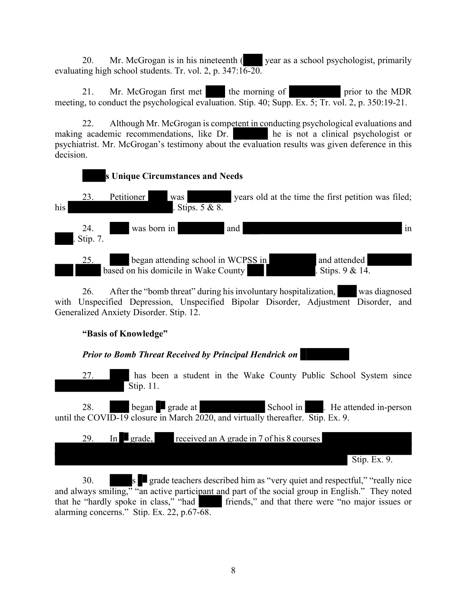20. Mr. McGrogan is in his nineteenth (year as a school psychologist, primarily evaluating high school students. Tr. vol. 2, p.  $347:16-20$ .

21. Mr. McGrogan first met the morning of prior to the MDR meeting, to conduct the psychological evaluation. Stip. 40; Supp. Ex. 5; Tr. vol. 2, p. 350:19-21.

22. Although Mr. McGrogan is competent in conducting psychological evaluations and making academic recommendations, like Dr. he is not a clinical psychologist or psychiatrist. Mr. McGrogan's testimony about the evaluation results was given deference in this decision.



26. After the "bomb threat" during his involuntary hospitalization, was diagnosed with Unspecified Depression, Unspecified Bipolar Disorder, Adjustment Disorder, and Generalized Anxiety Disorder. Stip. 12.

## **"Basis of Knowledge"**

*Prior to Bomb Threat Received by Principal Hendrick on*

27. **has been a student in the Wake County Public School System since** Stip. 11.

28. began grade at School in . He attended in-person until the COVID-19 closure in March 2020, and virtually thereafter. Stip. Ex. 9.



30. S grade teachers described him as "very quiet and respectful," "really nice and always smiling," "an active participant and part of the social group in English." They noted that he "hardly spoke in class," "had friends," and that there were "no major issues or alarming concerns." Stip. Ex. 22, p.67-68.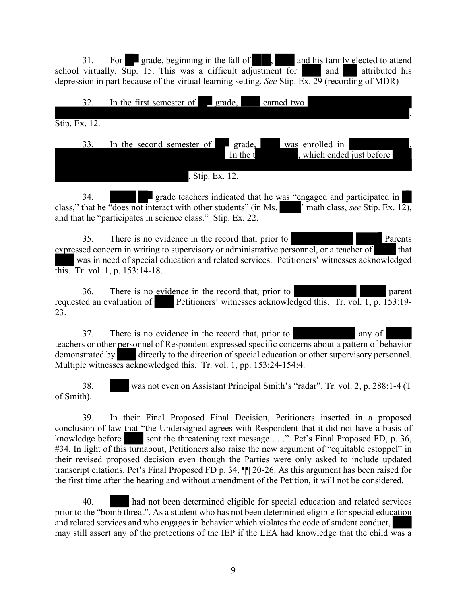31. For grade, beginning in the fall of , and his family elected to attend school virtually. Stip. 15. This was a difficult adjustment for and attributed his depression in part because of the virtual learning setting. *See* Stip. Ex. 29 (recording of MDR)

|               | 32. |  | In the first semester of $\Box$ grade, |  |               |                           | earned two |  |                                              |  |  |  |
|---------------|-----|--|----------------------------------------|--|---------------|---------------------------|------------|--|----------------------------------------------|--|--|--|
| Stip. Ex. 12. |     |  |                                        |  |               |                           |            |  |                                              |  |  |  |
|               | 33. |  | In the second semester of              |  |               | $\Box$ grade,<br>In the t |            |  | was enrolled in<br>, which ended just before |  |  |  |
|               |     |  |                                        |  | Stip. Ex. 12. |                           |            |  |                                              |  |  |  |

34. **grade teachers indicated that he was "engaged and participated in** class," that he "does not interact with other students" (in Ms.  $\blacksquare$  math class, *see* Stip. Ex. 12), and that he "participates in science class." Stip. Ex. 22.

35. There is no evidence in the record that, prior to Parents expressed concern in writing to supervisory or administrative personnel, or a teacher of that was in need of special education and related services. Petitioners' witnesses acknowledged this. Tr. vol. 1, p. 153:14-18.

36. There is no evidence in the record that, prior to parent parent requested an evaluation of Petitioners' witnesses acknowledged this. Tr. vol. 1, p. 153:19- 23.

37. There is no evidence in the record that, prior to any of teachers or other personnel of Respondent expressed specific concerns about a pattern of behavior demonstrated by directly to the direction of special education or other supervisory personnel. Multiple witnesses acknowledged this. Tr. vol. 1, pp. 153:24-154:4.

38. was not even on Assistant Principal Smith's "radar". Tr. vol. 2, p. 288:1-4 (T of Smith).

39. In their Final Proposed Final Decision, Petitioners inserted in a proposed conclusion of law that "the Undersigned agrees with Respondent that it did not have a basis of knowledge before sent the threatening text message . . .". Pet's Final Proposed FD, p. 36, #34. In light of this turnabout, Petitioners also raise the new argument of "equitable estoppel" in their revised proposed decision even though the Parties were only asked to include updated transcript citations. Pet's Final Proposed FD p. 34, ¶¶ 20-26. As this argument has been raised for the first time after the hearing and without amendment of the Petition, it will not be considered.

40. had not been determined eligible for special education and related services prior to the "bomb threat". As a student who has not been determined eligible for special education and related services and who engages in behavior which violates the code of student conduct, may still assert any of the protections of the IEP if the LEA had knowledge that the child was a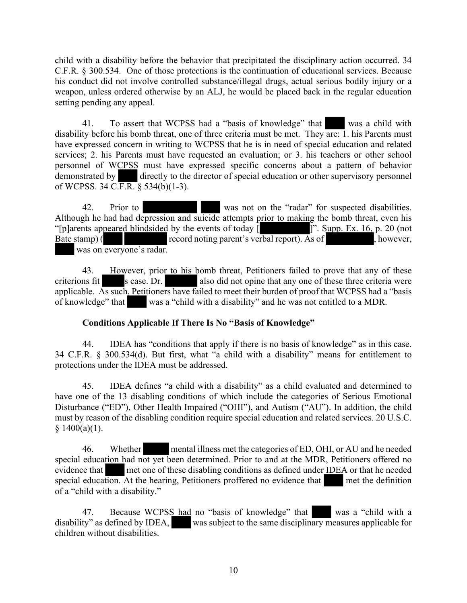child with a disability before the behavior that precipitated the disciplinary action occurred. 34 C.F.R. § 300.534. One of those protections is the continuation of educational services. Because his conduct did not involve controlled substance/illegal drugs, actual serious bodily injury or a weapon, unless ordered otherwise by an ALJ, he would be placed back in the regular education setting pending any appeal.

41. To assert that WCPSS had a "basis of knowledge" that was a child with disability before his bomb threat, one of three criteria must be met. They are: 1. his Parents must have expressed concern in writing to WCPSS that he is in need of special education and related services; 2. his Parents must have requested an evaluation; or 3. his teachers or other school personnel of WCPSS must have expressed specific concerns about a pattern of behavior demonstrated by directly to the director of special education or other supervisory personnel of WCPSS. 34 C.F.R.  $\S$  534(b)(1-3).

42. Prior to was not on the "radar" for suspected disabilities. Although he had had depression and suicide attempts prior to making the bomb threat, even his "[p]arents appeared blindsided by the events of today  $\begin{bmatrix} 1 & 1 \end{bmatrix}$ ". Supp. Ex. 16, p. 20 (not Bate stamp) ( record noting parent's verbal report). As of , however, was on everyone's radar.

43. However, prior to his bomb threat, Petitioners failed to prove that any of these criterions fit s case. Dr. also did not opine that any one of these three criteria were applicable. As such, Petitioners have failed to meet their burden of proof that WCPSS had a "basis of knowledge" that was a "child with a disability" and he was not entitled to a MDR.

## **Conditions Applicable If There Is No "Basis of Knowledge"**

44. IDEA has "conditions that apply if there is no basis of knowledge" as in this case. 34 C.F.R. § 300.534(d). But first, what "a child with a disability" means for entitlement to protections under the IDEA must be addressed.

45. IDEA defines "a child with a disability" as a child evaluated and determined to have one of the 13 disabling conditions of which include the categories of Serious Emotional Disturbance ("ED"), Other Health Impaired ("OHI"), and Autism ("AU"). In addition, the child must by reason of the disabling condition require special education and related services. 20 U.S.C.  $$1400(a)(1).$ 

46. Whether mental illness met the categories of ED, OHI, or AU and he needed special education had not yet been determined. Prior to and at the MDR, Petitioners offered no evidence that met one of these disabling conditions as defined under IDEA or that he needed special education. At the hearing, Petitioners proffered no evidence that met the definition of a "child with a disability."

47. Because WCPSS had no "basis of knowledge" that was a "child with a disability" as defined by IDEA, was subject to the same disciplinary measures applicable for children without disabilities.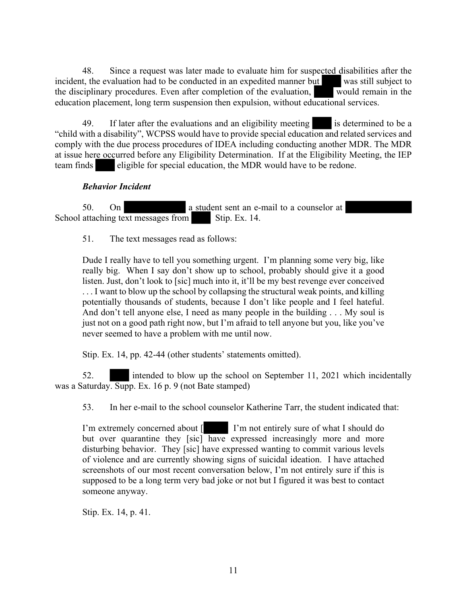48. Since a request was later made to evaluate him for suspected disabilities after the incident, the evaluation had to be conducted in an expedited manner but was still subject to the disciplinary procedures. Even after completion of the evaluation, would remain in the education placement, long term suspension then expulsion, without educational services.

49. If later after the evaluations and an eligibility meeting is determined to be a "child with a disability", WCPSS would have to provide special education and related services and comply with the due process procedures of IDEA including conducting another MDR. The MDR at issue here occurred before any Eligibility Determination. If at the Eligibility Meeting, the IEP team finds eligible for special education, the MDR would have to be redone.

## *Behavior Incident*

50. On a student sent an e-mail to a counselor at School attaching text messages from Stip. Ex.  $14$ .

51. The text messages read as follows:

Dude I really have to tell you something urgent. I'm planning some very big, like really big. When I say don't show up to school, probably should give it a good listen. Just, don't look to [sic] much into it, it'll be my best revenge ever conceived ... I want to blow up the school by collapsing the structural weak points, and killing potentially thousands of students, because I don't like people and I feel hateful. And don't tell anyone else, I need as many people in the building . . . My soul is just not on a good path right now, but I'm afraid to tell anyone but you, like you've never seemed to have a problem with me until now.

Stip. Ex. 14, pp. 42-44 (other students' statements omitted).

52. intended to blow up the school on September 11, 2021 which incidentally was a Saturday. Supp. Ex. 16 p. 9 (not Bate stamped)

53. In her e-mail to the school counselor Katherine Tarr, the student indicated that:

I'm extremely concerned about [ I'm not entirely sure of what I should do but over quarantine they [sic] have expressed increasingly more and more disturbing behavior. They [sic] have expressed wanting to commit various levels of violence and are currently showing signs of suicidal ideation. I have attached screenshots of our most recent conversation below, I'm not entirely sure if this is supposed to be a long term very bad joke or not but I figured it was best to contact someone anyway.

Stip. Ex. 14, p. 41.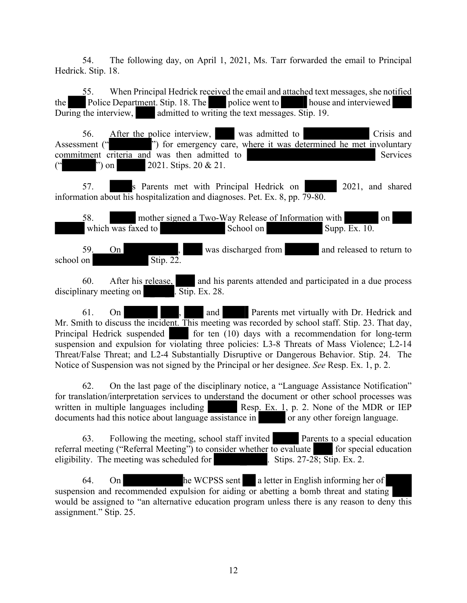54. The following day, on April 1, 2021, Ms. Tarr forwarded the email to Principal Hedrick. Stip. 18.

55. When Principal Hedrick received the email and attached text messages, she notified the Police Department. Stip. 18. The police went to house and interviewed During the interview, admitted to writing the text messages. Stip. 19.

56. After the police interview, was admitted to Crisis and Assessment (" ") for emergency care, where it was determined he met involuntary commitment criteria and was then admitted to Services  $"$  on 2021. Stips. 20 & 21.

57. S Parents met with Principal Hedrick on 2021, and shared information about his hospitalization and diagnoses. Pet. Ex. 8, pp. 79-80.

58. mother signed a Two-Way Release of Information with on which was faxed to  $School on$   $\Box$   $Sup$   $\Box$   $\Box$   $Sup$ 

59. On was discharged from and released to return to school on  $Stip. 22$ .

60. After his release, and his parents attended and participated in a due process disciplinary meeting on  $\overline{\text{Stip}}$ . Ex. 28.

61. On , and Parents met virtually with Dr. Hedrick and Mr. Smith to discuss the incident. This meeting was recorded by school staff. Stip. 23. That day, Principal Hedrick suspended for ten (10) days with a recommendation for long-term suspension and expulsion for violating three policies: L3-8 Threats of Mass Violence; L2-14 Threat/False Threat; and L2-4 Substantially Disruptive or Dangerous Behavior. Stip. 24. The Notice of Suspension was not signed by the Principal or her designee. *See* Resp. Ex. 1, p. 2.

62. On the last page of the disciplinary notice, a "Language Assistance Notification" for translation/interpretation services to understand the document or other school processes was written in multiple languages including  $\blacksquare$  Resp. Ex. 1, p. 2. None of the MDR or IEP documents had this notice about language assistance in or any other foreign language.

63. Following the meeting, school staff invited Parents to a special education referral meeting ("Referral Meeting") to consider whether to evaluate for special education eligibility. The meeting was scheduled for . Stips.  $27-28$ ; Stip. Ex. 2.

64. On he WCPSS sent a letter in English informing her of suspension and recommended expulsion for aiding or abetting a bomb threat and stating would be assigned to "an alternative education program unless there is any reason to deny this assignment." Stip. 25.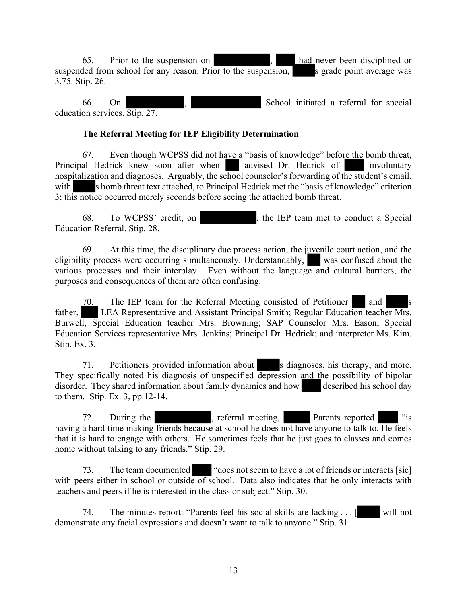65. Prior to the suspension on , had never been disciplined or suspended from school for any reason. Prior to the suspension, s grade point average was 3.75. Stip. 26.

66. On , School initiated a referral for special education services. Stip. 27.

#### **The Referral Meeting for IEP Eligibility Determination**

67. Even though WCPSS did not have a "basis of knowledge" before the bomb threat, Principal Hedrick knew soon after when advised Dr. Hedrick of involuntary hospitalization and diagnoses. Arguably, the school counselor's forwarding of the student's email, with s bomb threat text attached, to Principal Hedrick met the "basis of knowledge" criterion 3; this notice occurred merely seconds before seeing the attached bomb threat.

68. To WCPSS' credit, on , the IEP team met to conduct a Special Education Referral. Stip. 28.

69. At this time, the disciplinary due process action, the juvenile court action, and the eligibility process were occurring simultaneously. Understandably, was confused about the various processes and their interplay. Even without the language and cultural barriers, the purposes and consequences of them are often confusing.

70. The IEP team for the Referral Meeting consisted of Petitioner and father, LEA Representative and Assistant Principal Smith; Regular Education teacher Mrs. Burwell, Special Education teacher Mrs. Browning; SAP Counselor Mrs. Eason; Special Education Services representative Mrs. Jenkins; Principal Dr. Hedrick; and interpreter Ms. Kim. Stip. Ex. 3.

71. Petitioners provided information about s diagnoses, his therapy, and more. They specifically noted his diagnosis of unspecified depression and the possibility of bipolar disorder. They shared information about family dynamics and how described his school day disorder. They shared information about family dynamics and how to them. Stip. Ex. 3, pp.12-14.

72. During the , referral meeting, Parents reported "is" having a hard time making friends because at school he does not have anyone to talk to. He feels that it is hard to engage with others. He sometimes feels that he just goes to classes and comes home without talking to any friends." Stip. 29.

73. The team documented "does not seem to have a lot of friends or interacts [sic] with peers either in school or outside of school. Data also indicates that he only interacts with teachers and peers if he is interested in the class or subject." Stip. 30.

74. The minutes report: "Parents feel his social skills are lacking . . . [ will not demonstrate any facial expressions and doesn't want to talk to anyone." Stip. 31.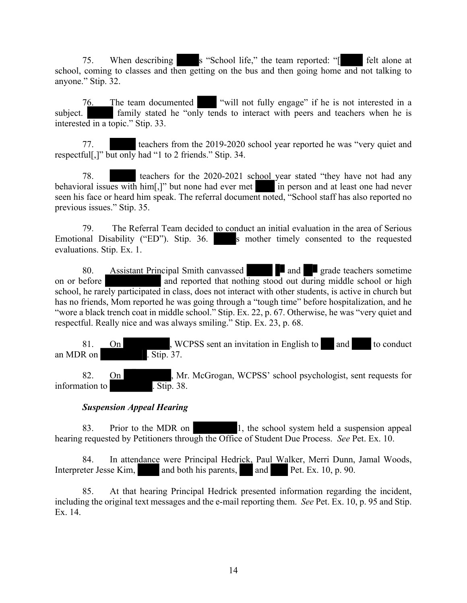75. When describing s "School life," the team reported: "[ felt alone at school, coming to classes and then getting on the bus and then going home and not talking to anyone." Stip. 32.

76. The team documented "will not fully engage" if he is not interested in a subject. family stated he "only tends to interact with peers and teachers when he is interested in a topic." Stip. 33.

77. teachers from the 2019-2020 school year reported he was "very quiet and respectful[,]" but only had "1 to 2 friends." Stip. 34.

78. teachers for the 2020-2021 school year stated "they have not had any behavioral issues with him[,]" but none had ever met in person and at least one had never seen his face or heard him speak. The referral document noted, "School staff has also reported no previous issues." Stip. 35.

79. The Referral Team decided to conduct an initial evaluation in the area of Serious Emotional Disability ("ED"). Stip. 36. s mother timely consented to the requested evaluations. Stip. Ex. 1.

80. Assistant Principal Smith canvassed **and grade teachers sometime** on or before and reported that nothing stood out during middle school or high school, he rarely participated in class, does not interact with other students, is active in church but has no friends, Mom reported he was going through a "tough time" before hospitalization, and he "wore a black trench coat in middle school." Stip. Ex. 22, p. 67. Otherwise, he was "very quiet and respectful. Really nice and was always smiling." Stip. Ex. 23, p. 68.

81. On , WCPSS sent an invitation in English to and to conduct an MDR on . Stip. 37.

82. On , Mr. McGrogan, WCPSS' school psychologist, sent requests for information to . Stip. 38.

## *Suspension Appeal Hearing*

83. Prior to the MDR on 1, the school system held a suspension appeal hearing requested by Petitioners through the Office of Student Due Process. *See* Pet. Ex. 10.

84. In attendance were Principal Hedrick, Paul Walker, Merri Dunn, Jamal Woods, Interpreter Jesse Kim, and both his parents, and Pet. Ex. 10, p. 90.

85. At that hearing Principal Hedrick presented information regarding the incident, including the original text messages and the e-mail reporting them. *See* Pet. Ex. 10, p. 95 and Stip. Ex. 14.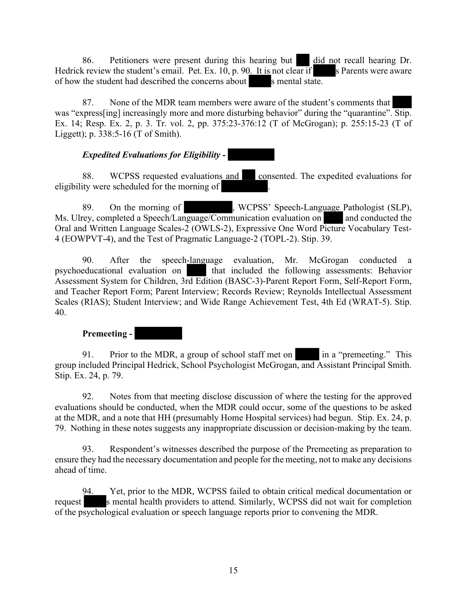86. Petitioners were present during this hearing but did not recall hearing Dr. Hedrick review the student's email. Pet. Ex. 10, p. 90. It is not clear if s Parents were aware of how the student had described the concerns about s mental state.

87. None of the MDR team members were aware of the student's comments that was "express[ing] increasingly more and more disturbing behavior" during the "quarantine". Stip. Ex. 14; Resp. Ex. 2, p. 3. Tr. vol. 2, pp. 375:23-376:12 (T of McGrogan); p. 255:15-23 (T of Liggett); p. 338:5-16 (T of Smith).

## *Expedited Evaluations for Eligibility -*

88. WCPSS requested evaluations and consented. The expedited evaluations for eligibility were scheduled for the morning of .

89. On the morning of , WCPSS' Speech-Language Pathologist (SLP), Ms. Ulrey, completed a Speech/Language/Communication evaluation on  $\Box$  and conducted the Oral and Written Language Scales-2 (OWLS-2), Expressive One Word Picture Vocabulary Test-4 (EOWPVT-4), and the Test of Pragmatic Language-2 (TOPL-2). Stip. 39.

90. After the speech-language evaluation, Mr. McGrogan conducted a psychoeducational evaluation on that included the following assessments: Behavior Assessment System for Children, 3rd Edition (BASC-3)-Parent Report Form, Self-Report Form, and Teacher Report Form; Parent Interview; Records Review; Reynolds Intellectual Assessment Scales (RIAS); Student Interview; and Wide Range Achievement Test, 4th Ed (WRAT-5). Stip. 40.

## **Premeeting -**

91. Prior to the MDR, a group of school staff met on in a "premeeting." This group included Principal Hedrick, School Psychologist McGrogan, and Assistant Principal Smith. Stip. Ex. 24, p. 79.

92. Notes from that meeting disclose discussion of where the testing for the approved evaluations should be conducted, when the MDR could occur, some of the questions to be asked at the MDR, and a note that HH (presumably Home Hospital services) had begun. Stip. Ex. 24, p. 79. Nothing in these notes suggests any inappropriate discussion or decision-making by the team.

93. Respondent's witnesses described the purpose of the Premeeting as preparation to ensure they had the necessary documentation and people for the meeting, not to make any decisions ahead of time.

94. Yet, prior to the MDR, WCPSS failed to obtain critical medical documentation or request s mental health providers to attend. Similarly, WCPSS did not wait for completion of the psychological evaluation or speech language reports prior to convening the MDR.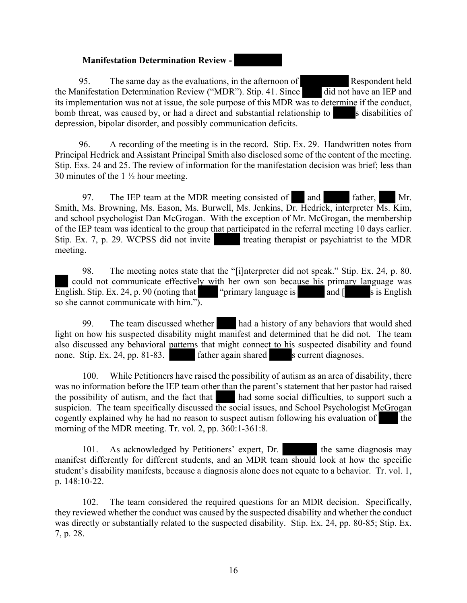#### **Manifestation Determination Review -**

95. The same day as the evaluations, in the afternoon of Respondent held the Manifestation Determination Review ("MDR"). Stip. 41. Since did not have an IEP and its implementation was not at issue, the sole purpose of this MDR was to determine if the conduct, bomb threat, was caused by, or had a direct and substantial relationship to s disabilities of depression, bipolar disorder, and possibly communication deficits.

96. A recording of the meeting is in the record. Stip. Ex. 29. Handwritten notes from Principal Hedrick and Assistant Principal Smith also disclosed some of the content of the meeting. Stip. Exs. 24 and 25. The review of information for the manifestation decision was brief; less than 30 minutes of the 1 ½ hour meeting.

97. The IEP team at the MDR meeting consisted of and father, Mr. Smith, Ms. Browning, Ms. Eason, Ms. Burwell, Ms. Jenkins, Dr. Hedrick, interpreter Ms. Kim, and school psychologist Dan McGrogan. With the exception of Mr. McGrogan, the membership of the IEP team was identical to the group that participated in the referral meeting 10 days earlier. Stip. Ex. 7, p. 29. WCPSS did not invite treating therapist or psychiatrist to the MDR meeting.

98. The meeting notes state that the "[i]nterpreter did not speak." Stip. Ex. 24, p. 80. could not communicate effectively with her own son because his primary language was English. Stip. Ex. 24, p. 90 (noting that "primary language is and  $\lceil$  s is English so she cannot communicate with him.").

99. The team discussed whether had a history of any behaviors that would shed light on how his suspected disability might manifest and determined that he did not. The team also discussed any behavioral patterns that might connect to his suspected disability and found none. Stip. Ex. 24, pp. 81-83. father again shared s current diagnoses.

100. While Petitioners have raised the possibility of autism as an area of disability, there was no information before the IEP team other than the parent's statement that her pastor had raised the possibility of autism, and the fact that had some social difficulties, to support such a suspicion. The team specifically discussed the social issues, and School Psychologist McGrogan cogently explained why he had no reason to suspect autism following his evaluation of the morning of the MDR meeting. Tr. vol. 2, pp. 360:1-361:8.

101. As acknowledged by Petitioners' expert, Dr. the same diagnosis may manifest differently for different students, and an MDR team should look at how the specific student's disability manifests, because a diagnosis alone does not equate to a behavior. Tr. vol. 1, p. 148:10-22.

102. The team considered the required questions for an MDR decision. Specifically, they reviewed whether the conduct was caused by the suspected disability and whether the conduct was directly or substantially related to the suspected disability. Stip. Ex. 24, pp. 80-85; Stip. Ex. 7, p. 28.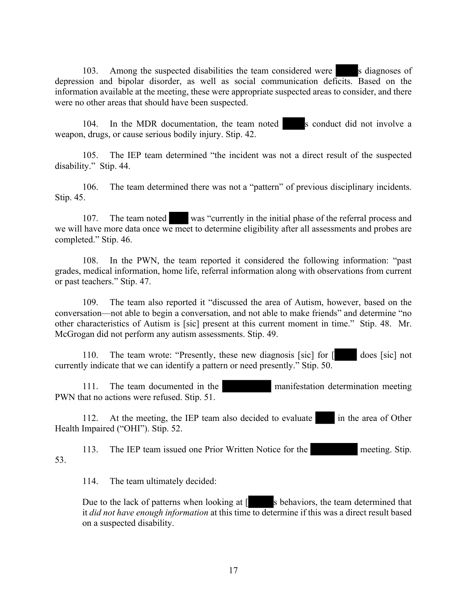103. Among the suspected disabilities the team considered were s diagnoses of depression and bipolar disorder, as well as social communication deficits. Based on the information available at the meeting, these were appropriate suspected areas to consider, and there were no other areas that should have been suspected.

104. In the MDR documentation, the team noted s conduct did not involve a weapon, drugs, or cause serious bodily injury. Stip. 42.

105. The IEP team determined "the incident was not a direct result of the suspected disability." Stip. 44.

106. The team determined there was not a "pattern" of previous disciplinary incidents. Stip. 45.

107. The team noted was "currently in the initial phase of the referral process and we will have more data once we meet to determine eligibility after all assessments and probes are completed." Stip. 46.

108. In the PWN, the team reported it considered the following information: "past grades, medical information, home life, referral information along with observations from current or past teachers." Stip. 47.

109. The team also reported it "discussed the area of Autism, however, based on the conversation—not able to begin a conversation, and not able to make friends" and determine "no other characteristics of Autism is [sic] present at this current moment in time." Stip. 48. Mr. McGrogan did not perform any autism assessments. Stip. 49.

110. The team wrote: "Presently, these new diagnosis [sic] for [ does [sic] not currently indicate that we can identify a pattern or need presently." Stip. 50.

111. The team documented in the manifestation determination meeting PWN that no actions were refused. Stip. 51.

112. At the meeting, the IEP team also decided to evaluate in the area of Other Health Impaired ("OHI"). Stip. 52.

113. The IEP team issued one Prior Written Notice for the meeting. Stip. 53.

114. The team ultimately decided:

Due to the lack of patterns when looking at  $\lceil$  s behaviors, the team determined that it *did not have enough information* at this time to determine if this was a direct result based on a suspected disability.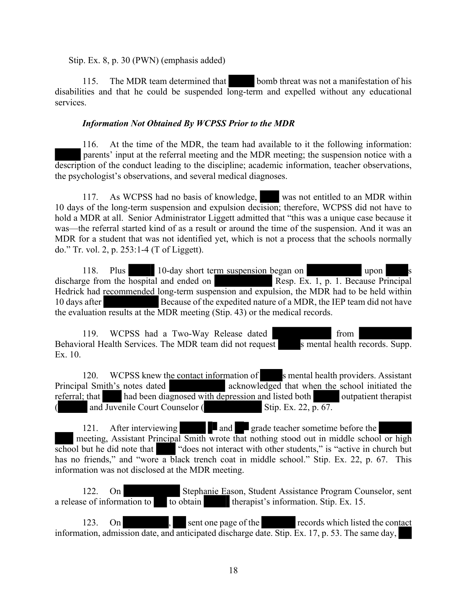Stip. Ex. 8, p. 30 (PWN) (emphasis added)

115. The MDR team determined that bomb threat was not a manifestation of his disabilities and that he could be suspended long-term and expelled without any educational services.

## *Information Not Obtained By WCPSS Prior to the MDR*

116. At the time of the MDR, the team had available to it the following information: parents' input at the referral meeting and the MDR meeting; the suspension notice with a description of the conduct leading to the discipline; academic information, teacher observations, the psychologist's observations, and several medical diagnoses.

117. As WCPSS had no basis of knowledge, was not entitled to an MDR within 10 days of the long-term suspension and expulsion decision; therefore, WCPSS did not have to hold a MDR at all. Senior Administrator Liggett admitted that "this was a unique case because it was—the referral started kind of as a result or around the time of the suspension. And it was an MDR for a student that was not identified yet, which is not a process that the schools normally do." Tr. vol. 2, p. 253:1-4 (T of Liggett).

118. Plus  $\begin{array}{|l|l|} 10$ -day short term suspension began on upon upon upon s upon s Resp. Ex. 1, p. 1. Because Principal discharge from the  $\overline{\text{hospital}}$  and ended on Hedrick had recommended long-term suspension and expulsion, the MDR had to be held within 10 days after Because of the expedited nature of a MDR, the IEP team did not have the evaluation results at the MDR meeting (Stip. 43) or the medical records.

119. WCPSS had a Two-Way Release dated from Behavioral Health Services. The MDR team did not request s mental health records. Supp. Ex. 10.

120. WCPSS knew the contact information of s mental health providers. Assistant Principal Smith's notes dated acknowledged that when the school initiated the referral; that had been diagnosed with depression and listed both outpatient therapist and Juvenile Court Counselor  $($  Stip. Ex. 22, p. 67.

121. After interviewing **and** grade teacher sometime before the meeting, Assistant Principal Smith wrote that nothing stood out in middle school or high school but he did note that "does not interact with other students," is "active in church but has no friends," and "wore a black trench coat in middle school." Stip. Ex. 22, p. 67. This information was not disclosed at the MDR meeting.

122. On Stephanie Eason, Student Assistance Program Counselor, sent a release of information to to obtain therapist's information. Stip. Ex. 15.

123. On sent one page of the records which listed the contact information, admission date, and anticipated discharge date. Stip. Ex. 17, p. 53. The same day,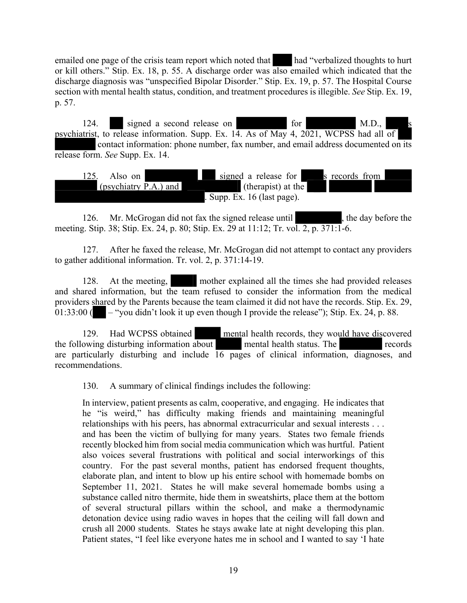emailed one page of the crisis team report which noted that had "verbalized thoughts to hurt or kill others." Stip. Ex. 18, p. 55. A discharge order was also emailed which indicated that the discharge diagnosis was "unspecified Bipolar Disorder." Stip. Ex. 19, p. 57. The Hospital Course section with mental health status, condition, and treatment procedures is illegible. *See* Stip. Ex. 19, p. 57.

124. signed a second release on for M.D., psychiatrist, to release information. Supp. Ex.  $14$ . As of May 4, 2021, WCPSS had all of contact information: phone number, fax number, and email address documented on its release form. *See* Supp. Ex. 14.



126. Mr. McGrogan did not fax the signed release until the day before the meeting. Stip. 38; Stip. Ex. 24, p. 80; Stip. Ex. 29 at 11:12; Tr. vol. 2, p. 371:1-6.

127. After he faxed the release, Mr. McGrogan did not attempt to contact any providers to gather additional information. Tr. vol. 2, p. 371:14-19.

128. At the meeting, mother explained all the times she had provided releases and shared information, but the team refused to consider the information from the medical providers shared by the Parents because the team claimed it did not have the records. Stip. Ex. 29, 01:33:00 ( $\blacksquare$  – "you didn't look it up even though I provide the release"); Stip. Ex. 24, p. 88.

129. Had WCPSS obtained mental health records, they would have discovered the following disturbing information about mental health status. The records are particularly disturbing and include  $\overline{16}$  pages of clinical information, diagnoses, and recommendations.

130. A summary of clinical findings includes the following:

In interview, patient presents as calm, cooperative, and engaging. He indicates that he "is weird," has difficulty making friends and maintaining meaningful relationships with his peers, has abnormal extracurricular and sexual interests . . . and has been the victim of bullying for many years. States two female friends recently blocked him from social media communication which was hurtful. Patient also voices several frustrations with political and social interworkings of this country. For the past several months, patient has endorsed frequent thoughts, elaborate plan, and intent to blow up his entire school with homemade bombs on September 11, 2021. States he will make several homemade bombs using a substance called nitro thermite, hide them in sweatshirts, place them at the bottom of several structural pillars within the school, and make a thermodynamic detonation device using radio waves in hopes that the ceiling will fall down and crush all 2000 students. States he stays awake late at night developing this plan. Patient states, "I feel like everyone hates me in school and I wanted to say 'I hate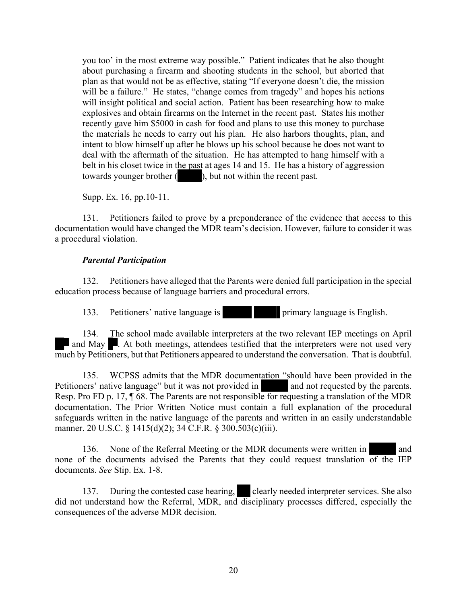you too' in the most extreme way possible." Patient indicates that he also thought about purchasing a firearm and shooting students in the school, but aborted that plan as that would not be as effective, stating "If everyone doesn't die, the mission will be a failure." He states, "change comes from tragedy" and hopes his actions will insight political and social action. Patient has been researching how to make explosives and obtain firearms on the Internet in the recent past. States his mother recently gave him \$5000 in cash for food and plans to use this money to purchase the materials he needs to carry out his plan. He also harbors thoughts, plan, and intent to blow himself up after he blows up his school because he does not want to deal with the aftermath of the situation. He has attempted to hang himself with a belt in his closet twice in the past at ages 14 and 15. He has a history of aggression towards younger brother (), but not within the recent past.

Supp. Ex. 16, pp.10-11.

131. Petitioners failed to prove by a preponderance of the evidence that access to this documentation would have changed the MDR team's decision. However, failure to consider it was a procedural violation.

## *Parental Participation*

132. Petitioners have alleged that the Parents were denied full participation in the special education process because of language barriers and procedural errors.

133. Petitioners' native language is primary language is English.

134. The school made available interpreters at the two relevant IEP meetings on April and May  $\blacksquare$ . At both meetings, attendees testified that the interpreters were not used very much by Petitioners, but that Petitioners appeared to understand the conversation. That is doubtful.

135. WCPSS admits that the MDR documentation "should have been provided in the Petitioners' native language" but it was not provided in and not requested by the parents. Resp. Pro FD p. 17, ¶ 68. The Parents are not responsible for requesting a translation of the MDR documentation. The Prior Written Notice must contain a full explanation of the procedural safeguards written in the native language of the parents and written in an easily understandable manner. 20 U.S.C. § 1415(d)(2); 34 C.F.R. § 300.503(c)(iii).

136. None of the Referral Meeting or the MDR documents were written in and none of the documents advised the Parents that they could request translation of the IEP documents. *See* Stip. Ex. 1-8.

137. During the contested case hearing, clearly needed interpreter services. She also did not understand how the Referral, MDR, and disciplinary processes differed, especially the consequences of the adverse MDR decision.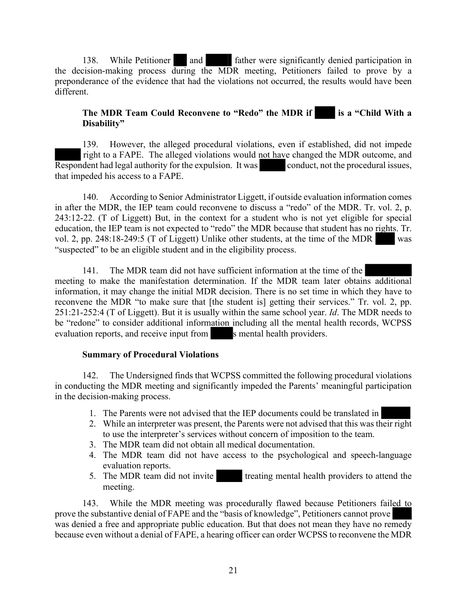138. While Petitioner and father were significantly denied participation in the decision-making process during the MDR meeting, Petitioners failed to prove by a preponderance of the evidence that had the violations not occurred, the results would have been different.

## **The MDR Team Could Reconvene to "Redo" the MDR if is a "Child With a Disability"**

139. However, the alleged procedural violations, even if established, did not impede right to a FAPE. The alleged violations would not have changed the MDR outcome, and Respondent had legal authority for the expulsion. It was conduct, not the procedural issues, that impeded his access to a FAPE.

140. According to Senior Administrator Liggett, if outside evaluation information comes in after the MDR, the IEP team could reconvene to discuss a "redo" of the MDR. Tr. vol. 2, p. 243:12-22. (T of Liggett) But, in the context for a student who is not yet eligible for special education, the IEP team is not expected to "redo" the MDR because that student has no rights. Tr. vol. 2, pp. 248:18-249:5 (T of Liggett) Unlike other students, at the time of the MDR was "suspected" to be an eligible student and in the eligibility process.

141. The MDR team did not have sufficient information at the time of the meeting to make the manifestation determination. If the MDR team later obtains additional information, it may change the initial MDR decision. There is no set time in which they have to reconvene the MDR "to make sure that [the student is] getting their services." Tr. vol. 2, pp. 251:21-252:4 (T of Liggett). But it is usually within the same school year. *Id*. The MDR needs to be "redone" to consider additional information including all the mental health records, WCPSS evaluation reports, and receive input from s mental health providers.

#### **Summary of Procedural Violations**

142. The Undersigned finds that WCPSS committed the following procedural violations in conducting the MDR meeting and significantly impeded the Parents' meaningful participation in the decision-making process.

- 1. The Parents were not advised that the IEP documents could be translated in
- 2. While an interpreter was present, the Parents were not advised that this was their right to use the interpreter's services without concern of imposition to the team.
- 3. The MDR team did not obtain all medical documentation.
- 4. The MDR team did not have access to the psychological and speech-language evaluation reports.
- 5. The MDR team did not invite treating mental health providers to attend the meeting.

143. While the MDR meeting was procedurally flawed because Petitioners failed to prove the substantive denial of FAPE and the "basis of knowledge", Petitioners cannot prove was denied a free and appropriate public education. But that does not mean they have no remedy because even without a denial of FAPE, a hearing officer can order WCPSS to reconvene the MDR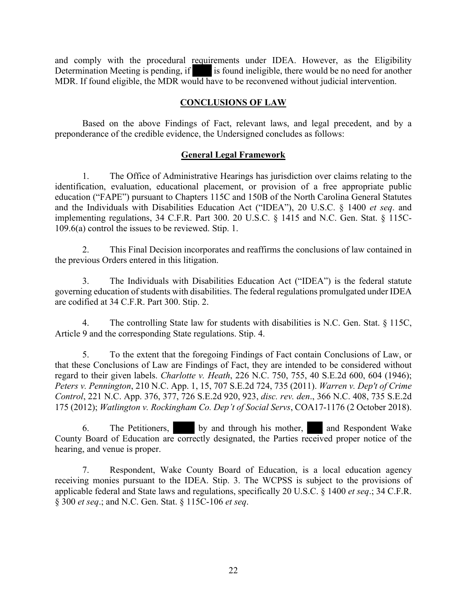and comply with the procedural requirements under IDEA. However, as the Eligibility Determination Meeting is pending, if is found ineligible, there would be no need for another MDR. If found eligible, the MDR would have to be reconvened without judicial intervention.

## **CONCLUSIONS OF LAW**

Based on the above Findings of Fact, relevant laws, and legal precedent, and by a preponderance of the credible evidence, the Undersigned concludes as follows:

## **General Legal Framework**

1. The Office of Administrative Hearings has jurisdiction over claims relating to the identification, evaluation, educational placement, or provision of a free appropriate public education ("FAPE") pursuant to Chapters 115C and 150B of the North Carolina General Statutes and the Individuals with Disabilities Education Act ("IDEA"), 20 U.S.C. § 1400 *et seq*. and implementing regulations, 34 C.F.R. Part 300. 20 U.S.C. § 1415 and N.C. Gen. Stat. § 115C-109.6(a) control the issues to be reviewed. Stip. 1.

2. This Final Decision incorporates and reaffirms the conclusions of law contained in the previous Orders entered in this litigation.

3. The Individuals with Disabilities Education Act ("IDEA") is the federal statute governing education of students with disabilities. The federal regulations promulgated under IDEA are codified at 34 C.F.R. Part 300. Stip. 2.

4. The controlling State law for students with disabilities is N.C. Gen. Stat. § 115C, Article 9 and the corresponding State regulations. Stip. 4.

5. To the extent that the foregoing Findings of Fact contain Conclusions of Law, or that these Conclusions of Law are Findings of Fact, they are intended to be considered without regard to their given labels. *Charlotte v. Heath*, 226 N.C. 750, 755, 40 S.E.2d 600, 604 (1946); *Peters v. Pennington*, 210 N.C. App. 1, 15, 707 S.E.2d 724, 735 (2011). *Warren v. Dep't of Crime Control*, 221 N.C. App. 376, 377, 726 S.E.2d 920, 923, *disc. rev. den*., 366 N.C. 408, 735 S.E.2d 175 (2012); *Watlington v. Rockingham Co. Dep't of Social Servs*, COA17-1176 (2 October 2018).

6. The Petitioners, by and through his mother, and Respondent Wake County Board of Education are correctly designated, the Parties received proper notice of the hearing, and venue is proper.

7. Respondent, Wake County Board of Education, is a local education agency receiving monies pursuant to the IDEA. Stip. 3. The WCPSS is subject to the provisions of applicable federal and State laws and regulations, specifically 20 U.S.C. § 1400 *et seq*.; 34 C.F.R. § 300 *et seq*.; and N.C. Gen. Stat. § 115C-106 *et seq*.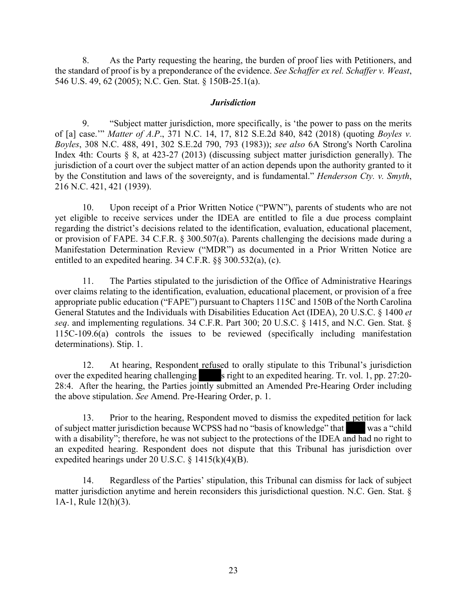8. As the Party requesting the hearing, the burden of proof lies with Petitioners, and the standard of proof is by a preponderance of the evidence. *See Schaffer ex rel. Schaffer v. Weast*, 546 U.S. 49, 62 (2005); N.C. Gen. Stat. § 150B-25.1(a).

#### *Jurisdiction*

9. "Subject matter jurisdiction, more specifically, is 'the power to pass on the merits of [a] case.'" *Matter of A.P*., 371 N.C. 14, 17, 812 S.E.2d 840, 842 (2018) (quoting *Boyles v. Boyles*, 308 N.C. 488, 491, 302 S.E.2d 790, 793 (1983)); *see also* 6A Strong's North Carolina Index 4th: Courts § 8, at 423-27 (2013) (discussing subject matter jurisdiction generally). The jurisdiction of a court over the subject matter of an action depends upon the authority granted to it by the Constitution and laws of the sovereignty, and is fundamental." *Henderson Cty. v. Smyth*, 216 N.C. 421, 421 (1939).

10. Upon receipt of a Prior Written Notice ("PWN"), parents of students who are not yet eligible to receive services under the IDEA are entitled to file a due process complaint regarding the district's decisions related to the identification, evaluation, educational placement, or provision of FAPE. 34 C.F.R. § 300.507(a). Parents challenging the decisions made during a Manifestation Determination Review ("MDR") as documented in a Prior Written Notice are entitled to an expedited hearing. 34 C.F.R. §§ 300.532(a), (c).

11. The Parties stipulated to the jurisdiction of the Office of Administrative Hearings over claims relating to the identification, evaluation, educational placement, or provision of a free appropriate public education ("FAPE") pursuant to Chapters 115C and 150B of the North Carolina General Statutes and the Individuals with Disabilities Education Act (IDEA), 20 U.S.C. § 1400 *et seq*. and implementing regulations. 34 C.F.R. Part 300; 20 U.S.C. § 1415, and N.C. Gen. Stat. § 115C-109.6(a) controls the issues to be reviewed (specifically including manifestation determinations). Stip. 1.

12. At hearing, Respondent refused to orally stipulate to this Tribunal's jurisdiction over the expedited hearing challenging s right to an expedited hearing. Tr. vol. 1, pp. 27:20-28:4. After the hearing, the Parties jointly submitted an Amended Pre-Hearing Order including the above stipulation. *See* Amend. Pre-Hearing Order, p. 1.

13. Prior to the hearing, Respondent moved to dismiss the expedited petition for lack of subject matter jurisdiction because WCPSS had no "basis of knowledge" that was a "child with a disability"; therefore, he was not subject to the protections of the IDEA and had no right to an expedited hearing. Respondent does not dispute that this Tribunal has jurisdiction over expedited hearings under 20 U.S.C. § 1415(k)(4)(B).

Regardless of the Parties' stipulation, this Tribunal can dismiss for lack of subject matter jurisdiction anytime and herein reconsiders this jurisdictional question. N.C. Gen. Stat. § 1A-1, Rule 12(h)(3).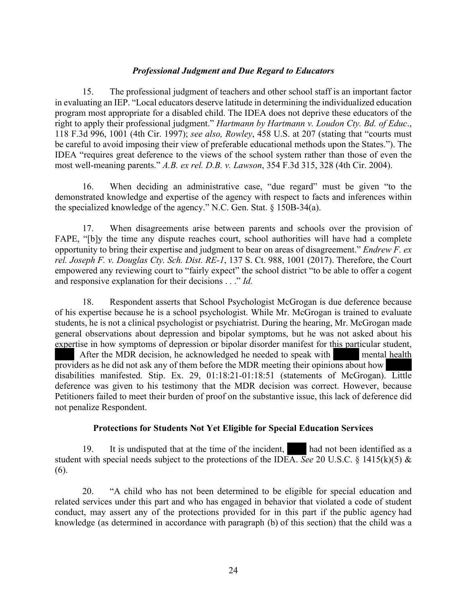#### *Professional Judgment and Due Regard to Educators*

15. The professional judgment of teachers and other school staff is an important factor in evaluating an IEP. "Local educators deserve latitude in determining the individualized education program most appropriate for a disabled child. The IDEA does not deprive these educators of the right to apply their professional judgment." *Hartmann by Hartmann v. Loudon Cty. Bd. of Educ*., 118 F.3d 996, 1001 (4th Cir. 1997); *see also, Rowley*, 458 U.S. at 207 (stating that "courts must be careful to avoid imposing their view of preferable educational methods upon the States."). The IDEA "requires great deference to the views of the school system rather than those of even the most well-meaning parents." *A.B. ex rel. D.B. v. Lawson*, 354 F.3d 315, 328 (4th Cir. 2004).

16. When deciding an administrative case, "due regard" must be given "to the demonstrated knowledge and expertise of the agency with respect to facts and inferences within the specialized knowledge of the agency." N.C. Gen. Stat. § 150B-34(a).

17. When disagreements arise between parents and schools over the provision of FAPE, "[b]y the time any dispute reaches court, school authorities will have had a complete opportunity to bring their expertise and judgment to bear on areas of disagreement." *Endrew F. ex rel. Joseph F. v. Douglas Cty. Sch. Dist. RE-1*, 137 S. Ct. 988, 1001 (2017). Therefore, the Court empowered any reviewing court to "fairly expect" the school district "to be able to offer a cogent and responsive explanation for their decisions . . ." *Id.*

18. Respondent asserts that School Psychologist McGrogan is due deference because of his expertise because he is a school psychologist. While Mr. McGrogan is trained to evaluate students, he is not a clinical psychologist or psychiatrist. During the hearing, Mr. McGrogan made general observations about depression and bipolar symptoms, but he was not asked about his expertise in how symptoms of depression or bipolar disorder manifest for this particular student, After the MDR decision, he acknowledged he needed to speak with mental health providers as he did not ask any of them before the MDR meeting their opinions about how disabilities manifested. Stip. Ex. 29, 01:18:21-01:18:51 (statements of McGrogan). Little deference was given to his testimony that the MDR decision was correct. However, because Petitioners failed to meet their burden of proof on the substantive issue, this lack of deference did not penalize Respondent.

#### **Protections for Students Not Yet Eligible for Special Education Services**

19. It is undisputed that at the time of the incident, had not been identified as a student with special needs subject to the protections of the IDEA. *See* 20 U.S.C. § 1415(k)(5)  $\&$ (6).

20. "A child who has not been determined to be eligible for special education and related services under this part and who has engaged in behavior that violated a code of student conduct, may assert any of the protections provided for in this part if the public agency had knowledge (as determined in accordance with paragraph (b) of this section) that the child was a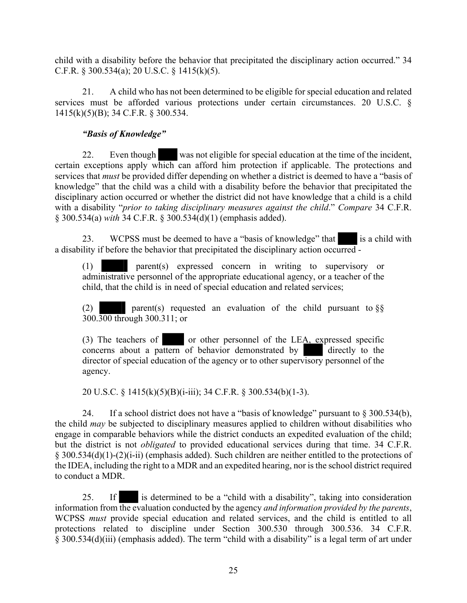child with a disability before the behavior that precipitated the disciplinary action occurred." 34 C.F.R. § 300.534(a); 20 U.S.C. § 1415(k)(5).

21. A child who has not been determined to be eligible for special education and related services must be afforded various protections under certain circumstances. 20 U.S.C. § 1415(k)(5)(B); 34 C.F.R. § 300.534.

## *"Basis of Knowledge"*

22. Even though was not eligible for special education at the time of the incident, certain exceptions apply which can afford him protection if applicable. The protections and services that *must* be provided differ depending on whether a district is deemed to have a "basis of knowledge" that the child was a child with a disability before the behavior that precipitated the disciplinary action occurred or whether the district did not have knowledge that a child is a child with a disability "*prior to taking disciplinary measures against the child*." *Compare* 34 C.F.R. § 300.534(a) *with* 34 C.F.R. § 300.534(d)(1) (emphasis added).

23. WCPSS must be deemed to have a "basis of knowledge" that is a child with a disability if before the behavior that precipitated the disciplinary action occurred -

(1) parent(s) expressed concern in writing to supervisory or administrative personnel of the appropriate educational agency, or a teacher of the child, that the child is in need of special education and related services;

(2) parent(s) requested an evaluation of the child pursuant to  $\S$ § 300.300 through 300.311; or

(3) The teachers of or other personnel of the LEA, expressed specific concerns about a pattern of behavior demonstrated by directly to the director of special education of the agency or to other supervisory personnel of the agency.

20 U.S.C. § 1415(k)(5)(B)(i-iii); 34 C.F.R. § 300.534(b)(1-3).

24. If a school district does not have a "basis of knowledge" pursuant to § 300.534(b), the child *may* be subjected to disciplinary measures applied to children without disabilities who engage in comparable behaviors while the district conducts an expedited evaluation of the child; but the district is not *obligated* to provided educational services during that time. 34 C.F.R. § 300.534(d)(1)-(2)(i-ii) (emphasis added). Such children are neither entitled to the protections of the IDEA, including the right to a MDR and an expedited hearing, nor is the school district required to conduct a MDR.

25. If is determined to be a "child with a disability", taking into consideration information from the evaluation conducted by the agency *and information provided by the parents*, WCPSS *must* provide special education and related services, and the child is entitled to all protections related to discipline under Section 300.530 through 300.536. 34 C.F.R. § 300.534(d)(iii) (emphasis added). The term "child with a disability" is a legal term of art under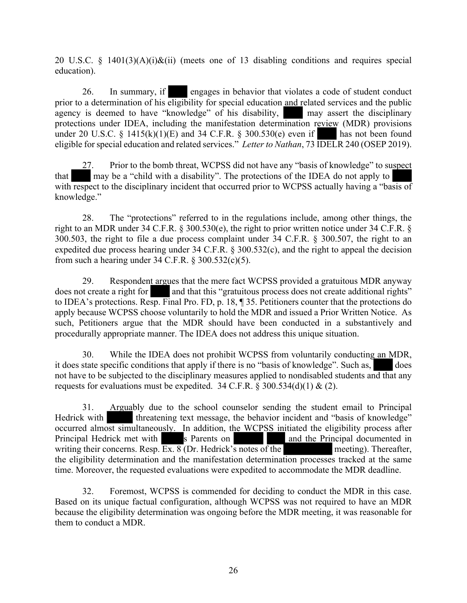20 U.S.C. § 1401(3)(A)(i)&(ii) (meets one of 13 disabling conditions and requires special education).

26. In summary, if engages in behavior that violates a code of student conduct prior to a determination of his eligibility for special education and related services and the public agency is deemed to have "knowledge" of his disability, may assert the disciplinary protections under IDEA, including the manifestation determination review (MDR) provisions under 20 U.S.C. § 1415(k)(1)(E) and 34 C.F.R. § 300.530(e) even if has not been found eligible for special education and related services." *Letter to Nathan*, 73 IDELR 240 (OSEP 2019).

27. Prior to the bomb threat, WCPSS did not have any "basis of knowledge" to suspect that may be a "child with a disability". The protections of the IDEA do not apply to with respect to the disciplinary incident that occurred prior to WCPSS actually having a "basis of knowledge."

28. The "protections" referred to in the regulations include, among other things, the right to an MDR under 34 C.F.R. § 300.530(e), the right to prior written notice under 34 C.F.R. § 300.503, the right to file a due process complaint under 34 C.F.R. § 300.507, the right to an expedited due process hearing under 34 C.F.R. § 300.532(c), and the right to appeal the decision from such a hearing under 34 C.F.R.  $\S 300.532(c)(5)$ .

29. Respondent argues that the mere fact WCPSS provided a gratuitous MDR anyway does not create a right for and that this "gratuitous process does not create additional rights" to IDEA's protections. Resp. Final Pro. FD, p. 18, ¶ 35. Petitioners counter that the protections do apply because WCPSS choose voluntarily to hold the MDR and issued a Prior Written Notice. As such, Petitioners argue that the MDR should have been conducted in a substantively and procedurally appropriate manner. The IDEA does not address this unique situation.

30. While the IDEA does not prohibit WCPSS from voluntarily conducting an MDR, it does state specific conditions that apply if there is no "basis of knowledge". Such as, does not have to be subjected to the disciplinary measures applied to nondisabled students and that any requests for evaluations must be expedited. 34 C.F.R.  $\S$  300.534(d)(1) & (2).

31. Arguably due to the school counselor sending the student email to Principal Hedrick with threatening text message, the behavior incident and "basis of knowledge" occurred almost simultaneously. In addition, the WCPSS initiated the eligibility process after<br>Principal Hedrick met with s Parents on and the Principal documented in writing their concerns. Resp.  $\overline{Ex}$ .  $\overline{8}$  (Dr. Hedrick's notes of the meeting). Thereafter, the eligibility determination and the manifestation determination processes tracked at the same time. Moreover, the requested evaluations were expedited to accommodate the MDR deadline.

32. Foremost, WCPSS is commended for deciding to conduct the MDR in this case. Based on its unique factual configuration, although WCPSS was not required to have an MDR because the eligibility determination was ongoing before the MDR meeting, it was reasonable for them to conduct a MDR.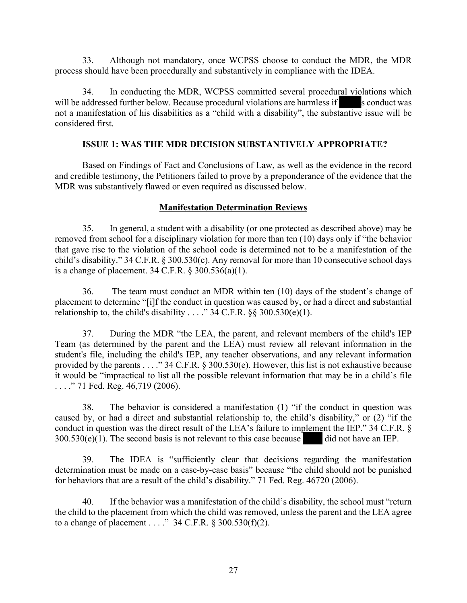33. Although not mandatory, once WCPSS choose to conduct the MDR, the MDR process should have been procedurally and substantively in compliance with the IDEA.

34. In conducting the MDR, WCPSS committed several procedural violations which will be addressed further below. Because procedural violations are harmless if s conduct was not a manifestation of his disabilities as a "child with a disability", the substantive issue will be considered first.

## **ISSUE 1: WAS THE MDR DECISION SUBSTANTIVELY APPROPRIATE?**

Based on Findings of Fact and Conclusions of Law, as well as the evidence in the record and credible testimony, the Petitioners failed to prove by a preponderance of the evidence that the MDR was substantively flawed or even required as discussed below.

## **Manifestation Determination Reviews**

35. In general, a student with a disability (or one protected as described above) may be removed from school for a disciplinary violation for more than ten (10) days only if "the behavior that gave rise to the violation of the school code is determined not to be a manifestation of the child's disability." 34 C.F.R. § 300.530(c). Any removal for more than 10 consecutive school days is a change of placement. 34 C.F.R. § 300.536(a)(1).

36. The team must conduct an MDR within ten (10) days of the student's change of placement to determine "[i]f the conduct in question was caused by, or had a direct and substantial relationship to, the child's disability . . . . " 34 C.F.R.  $\S$ § 300.530(e)(1).

37. During the MDR "the LEA, the parent, and relevant members of the child's IEP Team (as determined by the parent and the LEA) must review all relevant information in the student's file, including the child's IEP, any teacher observations, and any relevant information provided by the parents . . . ." 34 C.F.R. § 300.530(e). However, this list is not exhaustive because it would be "impractical to list all the possible relevant information that may be in a child's file . . . . . " 71 Fed. Reg. 46,719 (2006).

38. The behavior is considered a manifestation (1) "if the conduct in question was caused by, or had a direct and substantial relationship to, the child's disability," or (2) "if the conduct in question was the direct result of the LEA's failure to implement the IEP." 34 C.F.R. §  $300.530(e)(1)$ . The second basis is not relevant to this case because did not have an IEP.

39. The IDEA is "sufficiently clear that decisions regarding the manifestation determination must be made on a case-by-case basis" because "the child should not be punished for behaviors that are a result of the child's disability." 71 Fed. Reg. 46720 (2006).

40. If the behavior was a manifestation of the child's disability, the school must "return the child to the placement from which the child was removed, unless the parent and the LEA agree to a change of placement . . . ." 34 C.F.R.  $\S$  300.530(f)(2).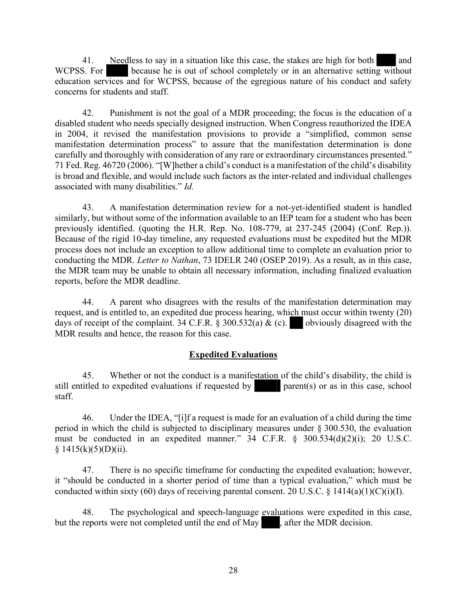41. Needless to say in a situation like this case, the stakes are high for both and WCPSS. For because he is out of school completely or in an alternative setting without education services and for WCPSS, because of the egregious nature of his conduct and safety concerns for students and staff.

42. Punishment is not the goal of a MDR proceeding; the focus is the education of a disabled student who needs specially designed instruction. When Congress reauthorized the IDEA in 2004, it revised the manifestation provisions to provide a "simplified, common sense manifestation determination process" to assure that the manifestation determination is done carefully and thoroughly with consideration of any rare or extraordinary circumstances presented." 71 Fed. Reg. 46720 (2006). "[W]hether a child's conduct is a manifestation of the child's disability is broad and flexible, and would include such factors as the inter-related and individual challenges associated with many disabilities." *Id.*

43. A manifestation determination review for a not-yet-identified student is handled similarly, but without some of the information available to an IEP team for a student who has been previously identified. (quoting the H.R. Rep. No. 108-779, at 237-245 (2004) (Conf. Rep.)). Because of the rigid 10-day timeline, any requested evaluations must be expedited but the MDR process does not include an exception to allow additional time to complete an evaluation prior to conducting the MDR. *Letter to Nathan*, 73 IDELR 240 (OSEP 2019). As a result, as in this case, the MDR team may be unable to obtain all necessary information, including finalized evaluation reports, before the MDR deadline.

44. A parent who disagrees with the results of the manifestation determination may request, and is entitled to, an expedited due process hearing, which must occur within twenty (20) days of receipt of the complaint. 34 C.F.R. § 300.532(a) & (c). obviously disagreed with the MDR results and hence, the reason for this case.

## **Expedited Evaluations**

45. Whether or not the conduct is a manifestation of the child's disability, the child is still entitled to expedited evaluations if requested by parent(s) or as in this case, school staff.

46. Under the IDEA, "[i]f a request is made for an evaluation of a child during the time period in which the child is subjected to disciplinary measures under § 300.530, the evaluation must be conducted in an expedited manner."  $34$  C.F.R. §  $300.534(d)(2)(i)$ ; 20 U.S.C.  $§ 1415(k)(5)(D)(ii).$ 

47. There is no specific timeframe for conducting the expedited evaluation; however, it "should be conducted in a shorter period of time than a typical evaluation," which must be conducted within sixty (60) days of receiving parental consent. 20 U.S.C.  $\frac{$1414(a)(1)(C)(i)(I)}{I}$ .

48. The psychological and speech-language evaluations were expedited in this case, but the reports were not completed until the end of May , after the MDR decision.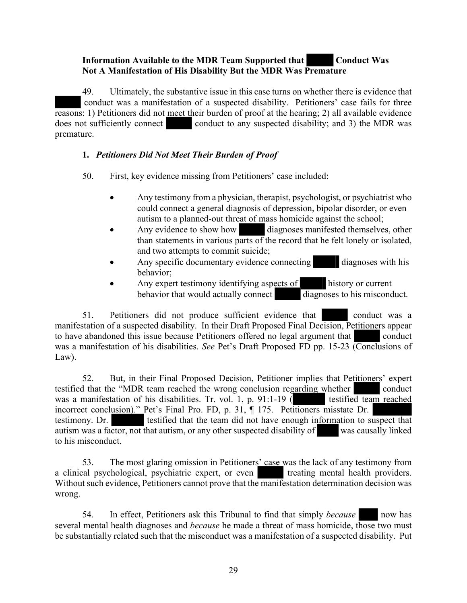## **Information Available to the MDR Team Supported that Conduct Was Not A Manifestation of His Disability But the MDR Was Premature**

49. Ultimately, the substantive issue in this case turns on whether there is evidence that conduct was a manifestation of a suspected disability. Petitioners' case fails for three reasons: 1) Petitioners did not meet their burden of proof at the hearing; 2) all available evidence does not sufficiently connect conduct to any suspected disability; and 3) the MDR was premature.

## **1.** *Petitioners Did Not Meet Their Burden of Proof*

50. First, key evidence missing from Petitioners' case included:

- Any testimony from a physician, therapist, psychologist, or psychiatrist who could connect a general diagnosis of depression, bipolar disorder, or even autism to a planned-out threat of mass homicide against the school;
- Any evidence to show how diagnoses manifested themselves, other than statements in various parts of the record that he felt lonely or isolated, and two attempts to commit suicide;
- Any specific documentary evidence connecting diagnoses with his behavior;
- Any expert testimony identifying aspects of history or current behavior that would actually connect diagnoses to his misconduct. behavior that would actually connect

51. Petitioners did not produce sufficient evidence that conduct was a manifestation of a suspected disability. In their Draft Proposed Final Decision, Petitioners appear to have abandoned this issue because Petitioners offered no legal argument that conduct was a manifestation of his disabilities. *See* Pet's Draft Proposed FD pp. 15-23 (Conclusions of Law).

52. But, in their Final Proposed Decision, Petitioner implies that Petitioners' expert testified that the "MDR team reached the wrong conclusion regarding whether conduct was a manifestation of his disabilities. Tr. vol. 1, p. 91:1-19  $\ell$ was a manifestation of his disabilities. Tr. vol. 1, p. 91:1-19  $\overline{()}$ incorrect conclusion)." Pet's Final Pro. FD, p. 31, ¶ 175. Petitioners misstate Dr. testimony. Dr. testified that the team did not have enough information to suspect that autism was a factor, not that autism, or any other suspected disability of was causally linked to his misconduct.

53. The most glaring omission in Petitioners' case was the lack of any testimony from a clinical psychological, psychiatric expert, or even treating mental health providers. Without such evidence, Petitioners cannot prove that the manifestation determination decision was wrong.

54. In effect, Petitioners ask this Tribunal to find that simply *because* now has several mental health diagnoses and *because* he made a threat of mass homicide, those two must be substantially related such that the misconduct was a manifestation of a suspected disability. Put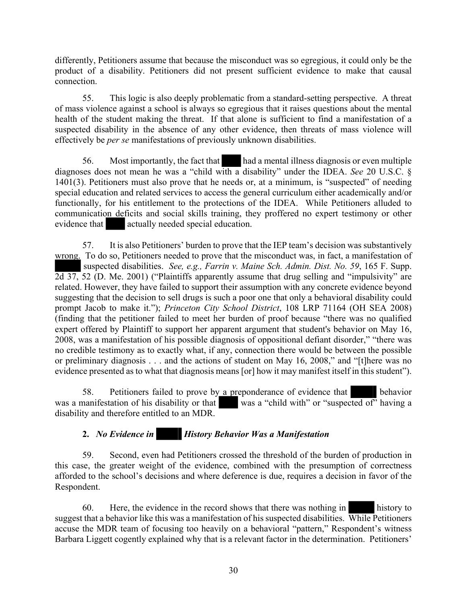differently, Petitioners assume that because the misconduct was so egregious, it could only be the product of a disability. Petitioners did not present sufficient evidence to make that causal connection.

55. This logic is also deeply problematic from a standard-setting perspective. A threat of mass violence against a school is always so egregious that it raises questions about the mental health of the student making the threat. If that alone is sufficient to find a manifestation of a suspected disability in the absence of any other evidence, then threats of mass violence will effectively be *per se* manifestations of previously unknown disabilities.

56. Most importantly, the fact that had a mental illness diagnosis or even multiple diagnoses does not mean he was a "child with a disability" under the IDEA. *See* 20 U.S.C. § 1401(3). Petitioners must also prove that he needs or, at a minimum, is "suspected" of needing special education and related services to access the general curriculum either academically and/or functionally, for his entitlement to the protections of the IDEA. While Petitioners alluded to communication deficits and social skills training, they proffered no expert testimony or other evidence that actually needed special education.

57. It is also Petitioners' burden to prove that the IEP team's decision was substantively wrong. To do so, Petitioners needed to prove that the misconduct was, in fact, a manifestation of suspected disabilities. *See, e.g., Farrin v. Maine Sch. Admin. Dist. No. 59*, 165 F. Supp. 2d 37, 52 (D. Me. 2001) ("Plaintiffs apparently assume that drug selling and "impulsivity" are related. However, they have failed to support their assumption with any concrete evidence beyond suggesting that the decision to sell drugs is such a poor one that only a behavioral disability could prompt Jacob to make it."); *Princeton City School District*, 108 LRP 71164 (OH SEA 2008) (finding that the petitioner failed to meet her burden of proof because "there was no qualified expert offered by Plaintiff to support her apparent argument that student's behavior on May 16, 2008, was a manifestation of his possible diagnosis of oppositional defiant disorder," "there was no credible testimony as to exactly what, if any, connection there would be between the possible or preliminary diagnosis . . . and the actions of student on May 16, 2008," and "[t]here was no evidence presented as to what that diagnosis means [or] how it may manifest itself in this student").

58. Petitioners failed to prove by a preponderance of evidence that behavior was a manifestation of his disability or that was a "child with" or "suspected of" having a disability and therefore entitled to an MDR.

## **2.** *No Evidence in History Behavior Was a Manifestation*

59. Second, even had Petitioners crossed the threshold of the burden of production in this case, the greater weight of the evidence, combined with the presumption of correctness afforded to the school's decisions and where deference is due, requires a decision in favor of the Respondent.

60. Here, the evidence in the record shows that there was nothing in history to suggest that a behavior like this was a manifestation of his suspected disabilities. While Petitioners accuse the MDR team of focusing too heavily on a behavioral "pattern," Respondent's witness Barbara Liggett cogently explained why that is a relevant factor in the determination. Petitioners'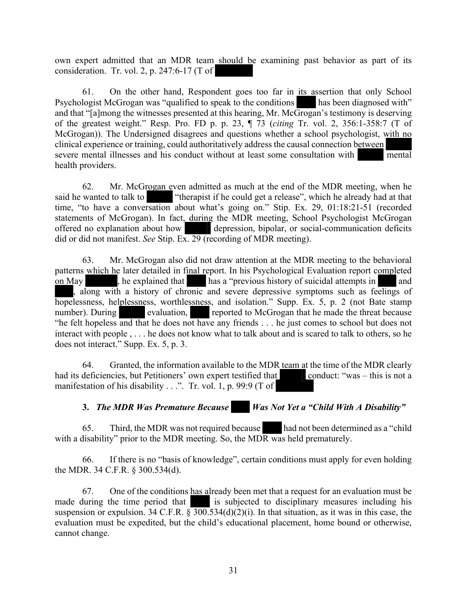own expert admitted that an MDR team should be examining past behavior as part of its consideration. Tr. vol. 2, p. 247:6-17 (T of

61. On the other hand, Respondent goes too far in its assertion that only School Psychologist McGrogan was "qualified to speak to the conditions has been diagnosed with" and that "[a]mong the witnesses presented at this hearing, Mr. McGrogan's testimony is deserving of the greatest weight." Resp. Pro. FD p. p. 23, ¶ 73 (*citing* Tr. vol. 2, 356:1-358:7 (T of McGrogan)). The Undersigned disagrees and questions whether a school psychologist, with no clinical experience or training, could authoritatively address the causal connection between severe mental illnesses and his conduct without at least some consultation with mental health providers.

62. Mr. McGrogan even admitted as much at the end of the MDR meeting, when he said he wanted to talk to "therapist if he could get a release", which he already had at that time, "to have a conversation about what's going on." Stip. Ex. 29, 01:18:21-51 (recorded statements of McGrogan). In fact, during the MDR meeting, School Psychologist McGrogan offered no explanation about how depression, bipolar, or social-communication deficits did or did not manifest. *See* Stip. Ex. 29 (recording of MDR meeting).

63. Mr. McGrogan also did not draw attention at the MDR meeting to the behavioral patterns which he later detailed in final report. In his Psychological Evaluation report completed on May , he explained that has a "previous history of suicidal attempts in and along with a history of chronic and severe depressive symptoms such as feelings of hopelessness, helplessness, worthlessness, and isolation." Supp. Ex. 5, p. 2 (not Bate stamp number). During evaluation, reported to McGrogan that he made the threat because "he felt hopeless and that he does not have any friends . . . he just comes to school but does not interact with people , . . . he does not know what to talk about and is scared to talk to others, so he does not interact." Supp. Ex. 5, p. 3.

64. Granted, the information available to the MDR team at the time of the MDR clearly had its deficiencies, but Petitioners' own expert testified that conduct: "was – this is not a manifestation of his disability  $\dots$ ". Tr. vol. 1, p. 99:9 (T of

**3.** *The MDR Was Premature Because Was Not Yet a "Child With A Disability"*

65. Third, the MDR was not required because had not been determined as a "child with a disability" prior to the MDR meeting. So, the MDR was held prematurely.

66. If there is no "basis of knowledge", certain conditions must apply for even holding the MDR. 34 C.F.R. § 300.534(d).

67. One of the conditions has already been met that a request for an evaluation must be made during the time period that is subjected to disciplinary measures including his suspension or expulsion. 34 C.F.R.  $\sqrt[5]{300.534(d)(2)(i)}$ . In that situation, as it was in this case, the evaluation must be expedited, but the child's educational placement, home bound or otherwise, cannot change.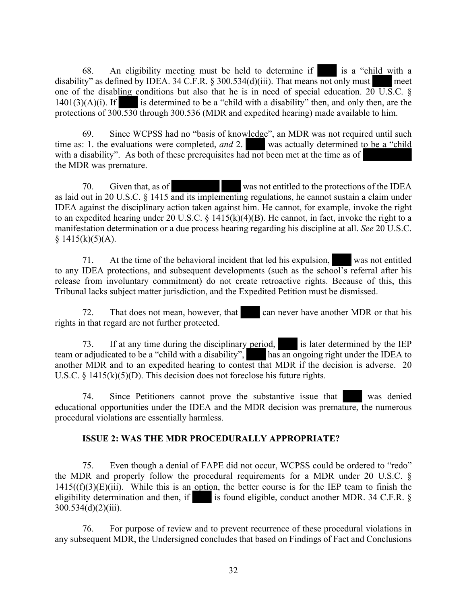68. An eligibility meeting must be held to determine if is a "child with a disability" as defined by IDEA. 34 C.F.R.  $\S 300.534(d)(iii)$ . That means not only must meet one of the disabling conditions but also that he is in need of special education.  $20 \text{ U.S.C. }$  §  $1401(3)(A)(i)$ . If is determined to be a "child with a disability" then, and only then, are the protections of 300.530 through 300.536 (MDR and expedited hearing) made available to him.

69. Since WCPSS had no "basis of knowledge", an MDR was not required until such time as: 1. the evaluations were completed, *and* 2. was actually determined to be a "child with a disability". As both of these prerequisites had not been met at the time as of the MDR was premature.

70. Given that, as of was not entitled to the protections of the IDEA as laid out in 20 U.S.C. § 1415 and its implementing regulations, he cannot sustain a claim under IDEA against the disciplinary action taken against him. He cannot, for example, invoke the right to an expedited hearing under 20 U.S.C. § 1415(k)(4)(B). He cannot, in fact, invoke the right to a manifestation determination or a due process hearing regarding his discipline at all. *See* 20 U.S.C.  $§ 1415(k)(5)(A).$ 

71. At the time of the behavioral incident that led his expulsion, was not entitled to any IDEA protections, and subsequent developments (such as the school's referral after his release from involuntary commitment) do not create retroactive rights. Because of this, this Tribunal lacks subject matter jurisdiction, and the Expedited Petition must be dismissed.

72. That does not mean, however, that can never have another MDR or that his rights in that regard are not further protected.

73. If at any time during the disciplinary period, is later determined by the IEP team or adjudicated to be a "child with a disability", has an ongoing right under the IDEA to another MDR and to an expedited hearing to contest that MDR if the decision is adverse. 20 U.S.C.  $\S$  1415(k)(5)(D). This decision does not foreclose his future rights.

74. Since Petitioners cannot prove the substantive issue that was denied educational opportunities under the IDEA and the MDR decision was premature, the numerous procedural violations are essentially harmless.

## **ISSUE 2: WAS THE MDR PROCEDURALLY APPROPRIATE?**

75. Even though a denial of FAPE did not occur, WCPSS could be ordered to "redo" the MDR and properly follow the procedural requirements for a MDR under 20 U.S.C. §  $1415((f)(3)(E)(iii)$ . While this is an option, the better course is for the IEP team to finish the eligibility determination and then, if is found eligible, conduct another MDR. 34 C.F.R.  $\S$  $300.534(d)(2)(iii)$ .

76. For purpose of review and to prevent recurrence of these procedural violations in any subsequent MDR, the Undersigned concludes that based on Findings of Fact and Conclusions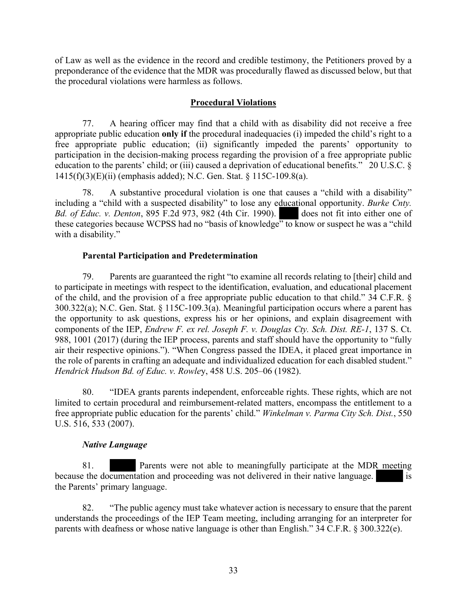of Law as well as the evidence in the record and credible testimony, the Petitioners proved by a preponderance of the evidence that the MDR was procedurally flawed as discussed below, but that the procedural violations were harmless as follows.

## **Procedural Violations**

77. A hearing officer may find that a child with as disability did not receive a free appropriate public education **only if** the procedural inadequacies (i) impeded the child's right to a free appropriate public education; (ii) significantly impeded the parents' opportunity to participation in the decision-making process regarding the provision of a free appropriate public education to the parents' child; or (iii) caused a deprivation of educational benefits." 20 U.S.C. § 1415(f)(3)(E)(ii) (emphasis added); N.C. Gen. Stat. § 115C-109.8(a).

78. A substantive procedural violation is one that causes a "child with a disability" including a "child with a suspected disability" to lose any educational opportunity. *Burke Cnty. Bd. of Educ. v. Denton*, 895 F.2d 973, 982 (4th Cir. 1990). does not fit into either one of these categories because WCPSS had no "basis of knowledge" to know or suspect he was a "child" with a disability."

## **Parental Participation and Predetermination**

79. Parents are guaranteed the right "to examine all records relating to [their] child and to participate in meetings with respect to the identification, evaluation, and educational placement of the child, and the provision of a free appropriate public education to that child." 34 C.F.R. § 300.322(a); N.C. Gen. Stat. § 115C-109.3(a). Meaningful participation occurs where a parent has the opportunity to ask questions, express his or her opinions, and explain disagreement with components of the IEP, *Endrew F. ex rel. Joseph F. v. Douglas Cty. Sch. Dist. RE-1*, 137 S. Ct. 988, 1001 (2017) (during the IEP process, parents and staff should have the opportunity to "fully air their respective opinions."). "When Congress passed the IDEA, it placed great importance in the role of parents in crafting an adequate and individualized education for each disabled student." *Hendrick Hudson Bd. of Educ. v. Rowle*y, 458 U.S. 205–06 (1982).

80. "IDEA grants parents independent, enforceable rights. These rights, which are not limited to certain procedural and reimbursement-related matters, encompass the entitlement to a free appropriate public education for the parents' child." *Winkelman v. Parma City Sch. Dist.*, 550 U.S. 516, 533 (2007).

#### *Native Language*

81. Parents were not able to meaningfully participate at the MDR meeting because the documentation and proceeding was not delivered in their native language. is the Parents' primary language.

82. "The public agency must take whatever action is necessary to ensure that the parent understands the proceedings of the IEP Team meeting, including arranging for an interpreter for parents with deafness or whose native language is other than English." 34 C.F.R. § 300.322(e).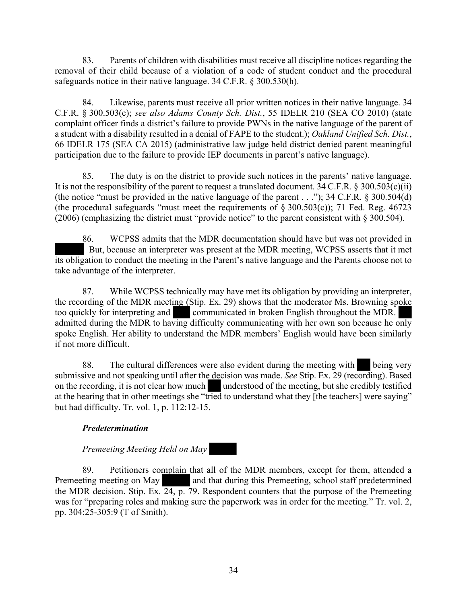83. Parents of children with disabilities must receive all discipline notices regarding the removal of their child because of a violation of a code of student conduct and the procedural safeguards notice in their native language. 34 C.F.R. § 300.530(h).

84. Likewise, parents must receive all prior written notices in their native language. 34 C.F.R. § 300.503(c); *see also Adams County Sch. Dist.*, 55 IDELR 210 (SEA CO 2010) (state complaint officer finds a district's failure to provide PWNs in the native language of the parent of a student with a disability resulted in a denial of FAPE to the student.); *Oakland Unified Sch. Dist.*, 66 IDELR 175 (SEA CA 2015) (administrative law judge held district denied parent meaningful participation due to the failure to provide IEP documents in parent's native language).

85. The duty is on the district to provide such notices in the parents' native language. It is not the responsibility of the parent to request a translated document. 34 C.F.R.  $\S 300.503(c)(ii)$ (the notice "must be provided in the native language of the parent . . ."); 34 C.F.R. § 300.504(d) (the procedural safeguards "must meet the requirements of  $\S 300.503(c)$ ); 71 Fed. Reg. 46723 (2006) (emphasizing the district must "provide notice" to the parent consistent with § 300.504).

86. WCPSS admits that the MDR documentation should have but was not provided in But, because an interpreter was present at the MDR meeting, WCPSS asserts that it met its obligation to conduct the meeting in the Parent's native language and the Parents choose not to take advantage of the interpreter.

87. While WCPSS technically may have met its obligation by providing an interpreter, the recording of the MDR meeting (Stip. Ex. 29) shows that the moderator Ms. Browning spoke too quickly for interpreting and communicated in broken English throughout the MDR. admitted during the MDR to having difficulty communicating with her own son because he only spoke English. Her ability to understand the MDR members' English would have been similarly if not more difficult.

88. The cultural differences were also evident during the meeting with being very submissive and not speaking until after the decision was made. *See* Stip. Ex. 29 (recording). Based on the recording, it is not clear how much understood of the meeting, but she credibly testified at the hearing that in other meetings she "tried to understand what they [the teachers] were saying" but had difficulty. Tr. vol. 1, p. 112:12-15.

## *Predetermination*

## *Premeeting Meeting Held on May*

89. Petitioners complain that all of the MDR members, except for them, attended a Premeeting meeting on May and that during this Premeeting, school staff predetermined the MDR decision. Stip. Ex. 24, p. 79. Respondent counters that the purpose of the Premeeting was for "preparing roles and making sure the paperwork was in order for the meeting." Tr. vol. 2, pp. 304:25-305:9 (T of Smith).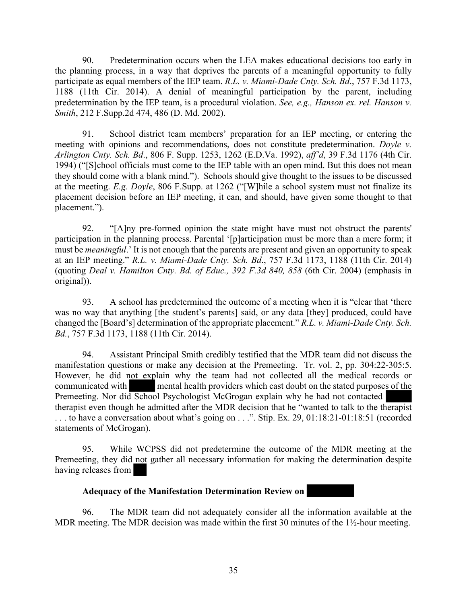90. Predetermination occurs when the LEA makes educational decisions too early in the planning process, in a way that deprives the parents of a meaningful opportunity to fully participate as equal members of the IEP team. *R.L. v. Miami-Dade Cnty. Sch. Bd*., 757 F.3d 1173, 1188 (11th Cir. 2014). A denial of meaningful participation by the parent, including predetermination by the IEP team, is a procedural violation. *See, e.g., Hanson ex. rel. Hanson v. Smith*, 212 F.Supp.2d 474, 486 (D. Md. 2002).

91. School district team members' preparation for an IEP meeting, or entering the meeting with opinions and recommendations, does not constitute predetermination. *Doyle v. Arlington Cnty. Sch. Bd*., 806 F. Supp. 1253, 1262 (E.D.Va. 1992), *aff'd*, 39 F.3d 1176 (4th Cir. 1994) ("[S]chool officials must come to the IEP table with an open mind. But this does not mean they should come with a blank mind."). Schools should give thought to the issues to be discussed at the meeting. *E.g. Doyle*, 806 F.Supp. at 1262 ("[W]hile a school system must not finalize its placement decision before an IEP meeting, it can, and should, have given some thought to that placement.").

92. "[A]ny pre-formed opinion the state might have must not obstruct the parents' participation in the planning process. Parental '[p]articipation must be more than a mere form; it must be *meaningful*.' It is not enough that the parents are present and given an opportunity to speak at an IEP meeting." *R.L. v. Miami-Dade Cnty. Sch. Bd*., 757 F.3d 1173, 1188 (11th Cir. 2014) (quoting *Deal v. Hamilton Cnty. Bd. of Educ., 392 F.3d 840, 858* (6th Cir. 2004) (emphasis in original)).

93. A school has predetermined the outcome of a meeting when it is "clear that 'there was no way that anything [the student's parents] said, or any data [they] produced, could have changed the [Board's] determination of the appropriate placement." *R.L. v. Miami-Dade Cnty. Sch. Bd.*, 757 F.3d 1173, 1188 (11th Cir. 2014).

94. Assistant Principal Smith credibly testified that the MDR team did not discuss the manifestation questions or make any decision at the Premeeting. Tr. vol. 2, pp. 304:22-305:5. However, he did not explain why the team had not collected all the medical records or communicated with mental health providers which cast doubt on the stated purposes of the Premeeting. Nor did School Psychologist McGrogan explain why he had not contacted therapist even though he admitted after the MDR decision that he "wanted to talk to the therapist ... to have a conversation about what's going on ...". Stip. Ex. 29, 01:18:21-01:18:51 (recorded statements of McGrogan).

95. While WCPSS did not predetermine the outcome of the MDR meeting at the Premeeting, they did not gather all necessary information for making the determination despite having releases from

## **Adequacy of the Manifestation Determination Review on**

96. The MDR team did not adequately consider all the information available at the MDR meeting. The MDR decision was made within the first 30 minutes of the 1<sup>1</sup>/<sub>2</sub>-hour meeting.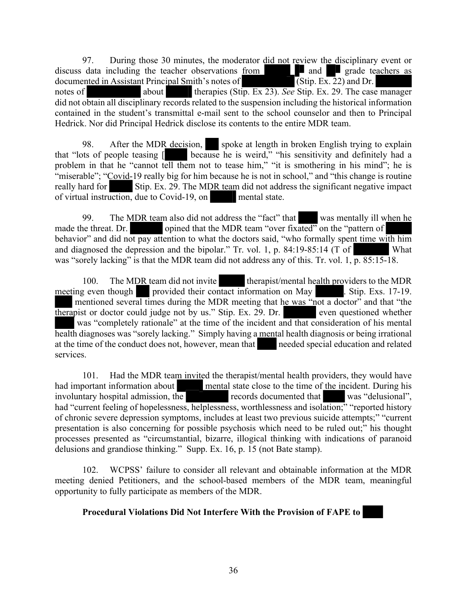97. During those 30 minutes, the moderator did not review the disciplinary event or discuss data including the teacher observations from and and grade teachers as documented in Assistant Principal Smith's notes of (Stip. Ex. 22) and Dr. documented in Assistant Principal Smith's notes of notes of about therapies (Stip. Ex 23). *See* Stip. Ex. 29. The case manager did not obtain all disciplinary records related to the suspension including the historical information contained in the student's transmittal e-mail sent to the school counselor and then to Principal Hedrick. Nor did Principal Hedrick disclose its contents to the entire MDR team.

98. After the MDR decision, spoke at length in broken English trying to explain that "lots of people teasing [ because he is weird," "his sensitivity and definitely had a problem in that he "cannot tell them not to tease him," "it is smothering in his mind"; he is "miserable"; "Covid-19 really big for him because he is not in school," and "this change is routine" really hard for Stip. Ex. 29. The MDR team did not address the significant negative impact of virtual instruction, due to Covid-19, on mental state.

99. The MDR team also did not address the "fact" that was mentally ill when he made the threat. Dr. opined that the MDR team "over fixated" on the "pattern of behavior" and did not pay attention to what the doctors said, "who formally spent time with him and diagnosed the depression and the bipolar." Tr. vol. 1, p. 84:19-85:14 (T of What was "sorely lacking" is that the MDR team did not address any of this. Tr. vol. 1,  $\overline{p. 85:15-18}$ .

100. The MDR team did not invite therapist/mental health providers to the MDR meeting even though provided their contact information on May . Stip. Exs. 17-19. mentioned several times during the MDR meeting that he was "not a doctor" and that "the therapist or doctor could judge not by us." Stip. Ex. 29. Dr. even questioned whether was "completely rationale" at the time of the incident and that consideration of his mental health diagnoses was "sorely lacking." Simply having a mental health diagnosis or being irrational at the time of the conduct does not, however, mean that needed special education and related services.

101. Had the MDR team invited the therapist/mental health providers, they would have had important information about mental state close to the time of the incident. During his involuntary hospital admission, the records documented that was "delusional", had "current feeling of hopelessness, helplessness, worthlessness and isolation;" "reported history of chronic severe depression symptoms, includes at least two previous suicide attempts;" "current presentation is also concerning for possible psychosis which need to be ruled out;" his thought processes presented as "circumstantial, bizarre, illogical thinking with indications of paranoid delusions and grandiose thinking." Supp. Ex. 16, p. 15 (not Bate stamp).

102. WCPSS' failure to consider all relevant and obtainable information at the MDR meeting denied Petitioners, and the school-based members of the MDR team, meaningful opportunity to fully participate as members of the MDR.

## **Procedural Violations Did Not Interfere With the Provision of FAPE to**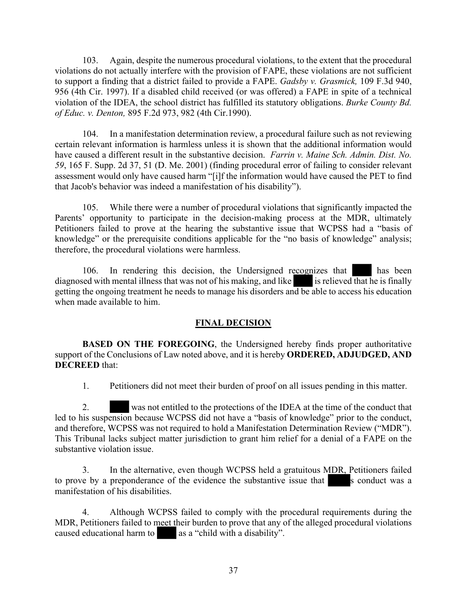103. Again, despite the numerous procedural violations, to the extent that the procedural violations do not actually interfere with the provision of FAPE, these violations are not sufficient to support a finding that a district failed to provide a FAPE. *Gadsby v. Grasmick,* 109 F.3d 940, 956 (4th Cir. 1997). If a disabled child received (or was offered) a FAPE in spite of a technical violation of the IDEA, the school district has fulfilled its statutory obligations. *Burke County Bd. of Educ. v. Denton,* 895 F.2d 973, 982 (4th Cir.1990).

104. In a manifestation determination review, a procedural failure such as not reviewing certain relevant information is harmless unless it is shown that the additional information would have caused a different result in the substantive decision. *Farrin v. Maine Sch. Admin. Dist. No. 59*, 165 F. Supp. 2d 37, 51 (D. Me. 2001) (finding procedural error of failing to consider relevant assessment would only have caused harm "[i]f the information would have caused the PET to find that Jacob's behavior was indeed a manifestation of his disability").

105. While there were a number of procedural violations that significantly impacted the Parents' opportunity to participate in the decision-making process at the MDR, ultimately Petitioners failed to prove at the hearing the substantive issue that WCPSS had a "basis of knowledge" or the prerequisite conditions applicable for the "no basis of knowledge" analysis; therefore, the procedural violations were harmless.

106. In rendering this decision, the Undersigned recognizes that has been diagnosed with mental illness that was not of his making, and like is relieved that he is finally getting the ongoing treatment he needs to manage his disorders and be able to access his education when made available to him.

## **FINAL DECISION**

**BASED ON THE FOREGOING**, the Undersigned hereby finds proper authoritative support of the Conclusions of Law noted above, and it is hereby **ORDERED, ADJUDGED, AND DECREED** that:

1. Petitioners did not meet their burden of proof on all issues pending in this matter.

2. was not entitled to the protections of the IDEA at the time of the conduct that led to his suspension because WCPSS did not have a "basis of knowledge" prior to the conduct, and therefore, WCPSS was not required to hold a Manifestation Determination Review ("MDR"). This Tribunal lacks subject matter jurisdiction to grant him relief for a denial of a FAPE on the substantive violation issue.

3. In the alternative, even though WCPSS held a gratuitous MDR, Petitioners failed to prove by a preponderance of the evidence the substantive issue that s conduct was a manifestation of his disabilities.

4. Although WCPSS failed to comply with the procedural requirements during the MDR, Petitioners failed to meet their burden to prove that any of the alleged procedural violations caused educational harm to as a "child with a disability".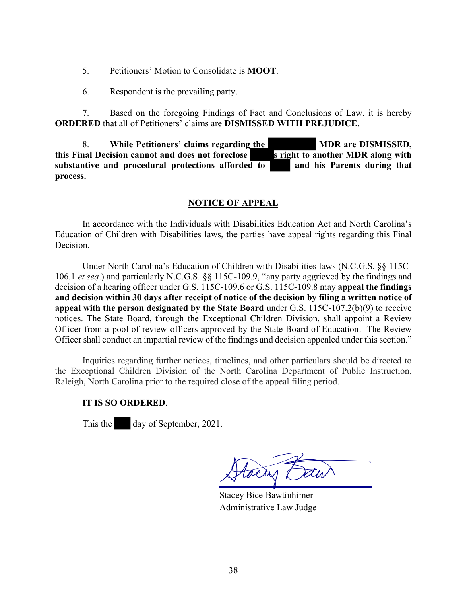- 5. Petitioners' Motion to Consolidate is **MOOT**.
- 6. Respondent is the prevailing party.

7. Based on the foregoing Findings of Fact and Conclusions of Law, it is hereby **ORDERED** that all of Petitioners' claims are **DISMISSED WITH PREJUDICE**.

8. **While Petitioners' claims regarding the MDR** are DISMISSED, and Decision cannot and does not foreclose stright to another MDR along with **this Final Decision cannot and does not foreclose substantive and procedural protections afforded to and his Parents during that process.**

## **NOTICE OF APPEAL**

In accordance with the Individuals with Disabilities Education Act and North Carolina's Education of Children with Disabilities laws, the parties have appeal rights regarding this Final Decision.

Under North Carolina's Education of Children with Disabilities laws (N.C.G.S. §§ 115C-106.1 *et seq*.) and particularly N.C.G.S. §§ 115C-109.9, "any party aggrieved by the findings and decision of a hearing officer under G.S. 115C-109.6 or G.S. 115C-109.8 may **appeal the findings and decision within 30 days after receipt of notice of the decision by filing a written notice of appeal with the person designated by the State Board** under G.S. 115C-107.2(b)(9) to receive notices. The State Board, through the Exceptional Children Division, shall appoint a Review Officer from a pool of review officers approved by the State Board of Education. The Review Officer shall conduct an impartial review of the findings and decision appealed under this section."

Inquiries regarding further notices, timelines, and other particulars should be directed to the Exceptional Children Division of the North Carolina Department of Public Instruction, Raleigh, North Carolina prior to the required close of the appeal filing period.

## **IT IS SO ORDERED**.

This the day of September, 2021.

tacas

Stacey Bice Bawtinhimer Administrative Law Judge